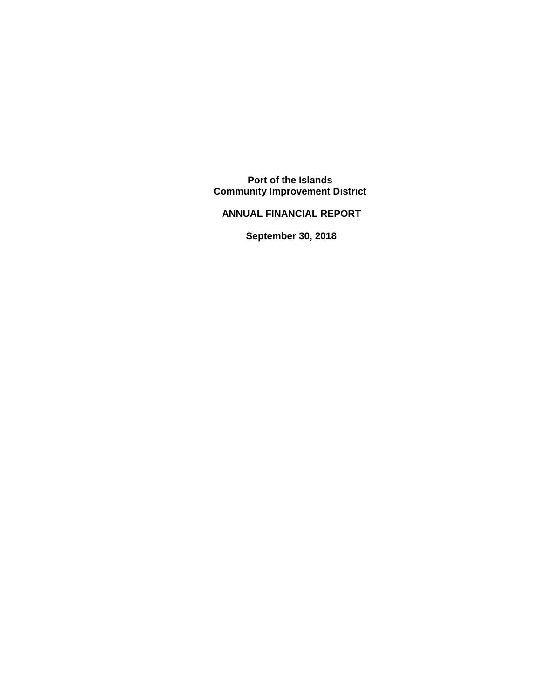**Port of the Islands Community Improvement District** 

 **ANNUAL FINANCIAL REPORT**

 **September 30, 2018**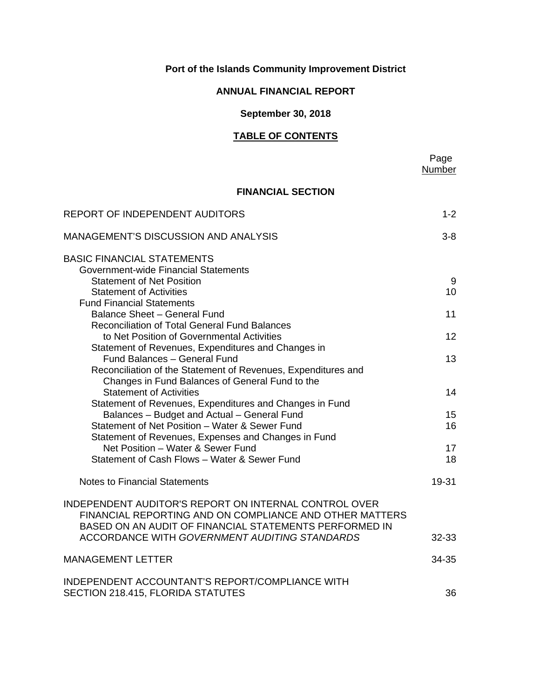# **Port of the Islands Community Improvement District**

# **ANNUAL FINANCIAL REPORT**

# **September 30, 2018**

# **TABLE OF CONTENTS**

| <b>FINANCIAL SECTION</b><br>REPORT OF INDEPENDENT AUDITORS<br><b>MANAGEMENT'S DISCUSSION AND ANALYSIS</b><br><b>BASIC FINANCIAL STATEMENTS</b><br>Government-wide Financial Statements<br><b>Statement of Net Position</b><br><b>Statement of Activities</b><br><b>Fund Financial Statements</b><br>Balance Sheet - General Fund | Number  |
|----------------------------------------------------------------------------------------------------------------------------------------------------------------------------------------------------------------------------------------------------------------------------------------------------------------------------------|---------|
|                                                                                                                                                                                                                                                                                                                                  |         |
|                                                                                                                                                                                                                                                                                                                                  | $1 - 2$ |
|                                                                                                                                                                                                                                                                                                                                  | $3-8$   |
|                                                                                                                                                                                                                                                                                                                                  |         |
|                                                                                                                                                                                                                                                                                                                                  | 9       |
|                                                                                                                                                                                                                                                                                                                                  | 10      |
|                                                                                                                                                                                                                                                                                                                                  |         |
|                                                                                                                                                                                                                                                                                                                                  | 11      |
| <b>Reconciliation of Total General Fund Balances</b>                                                                                                                                                                                                                                                                             |         |
| to Net Position of Governmental Activities                                                                                                                                                                                                                                                                                       | 12      |
| Statement of Revenues, Expenditures and Changes in                                                                                                                                                                                                                                                                               |         |
| Fund Balances - General Fund                                                                                                                                                                                                                                                                                                     | 13      |
| Reconciliation of the Statement of Revenues, Expenditures and                                                                                                                                                                                                                                                                    |         |
| Changes in Fund Balances of General Fund to the                                                                                                                                                                                                                                                                                  |         |
| <b>Statement of Activities</b>                                                                                                                                                                                                                                                                                                   | 14      |
| Statement of Revenues, Expenditures and Changes in Fund                                                                                                                                                                                                                                                                          |         |
| Balances - Budget and Actual - General Fund                                                                                                                                                                                                                                                                                      | 15      |
| Statement of Net Position - Water & Sewer Fund                                                                                                                                                                                                                                                                                   | 16      |
| Statement of Revenues, Expenses and Changes in Fund                                                                                                                                                                                                                                                                              |         |
| Net Position - Water & Sewer Fund                                                                                                                                                                                                                                                                                                | 17      |
| Statement of Cash Flows - Water & Sewer Fund                                                                                                                                                                                                                                                                                     | 18      |
|                                                                                                                                                                                                                                                                                                                                  |         |
| <b>Notes to Financial Statements</b>                                                                                                                                                                                                                                                                                             | 19-31   |
| INDEPENDENT AUDITOR'S REPORT ON INTERNAL CONTROL OVER<br>FINANCIAL REPORTING AND ON COMPLIANCE AND OTHER MATTERS<br>BASED ON AN AUDIT OF FINANCIAL STATEMENTS PERFORMED IN                                                                                                                                                       |         |
| ACCORDANCE WITH GOVERNMENT AUDITING STANDARDS                                                                                                                                                                                                                                                                                    | 32-33   |
| <b>MANAGEMENT LETTER</b>                                                                                                                                                                                                                                                                                                         | 34-35   |
| INDEPENDENT ACCOUNTANT'S REPORT/COMPLIANCE WITH<br><b>SECTION 218.415, FLORIDA STATUTES</b>                                                                                                                                                                                                                                      | 36      |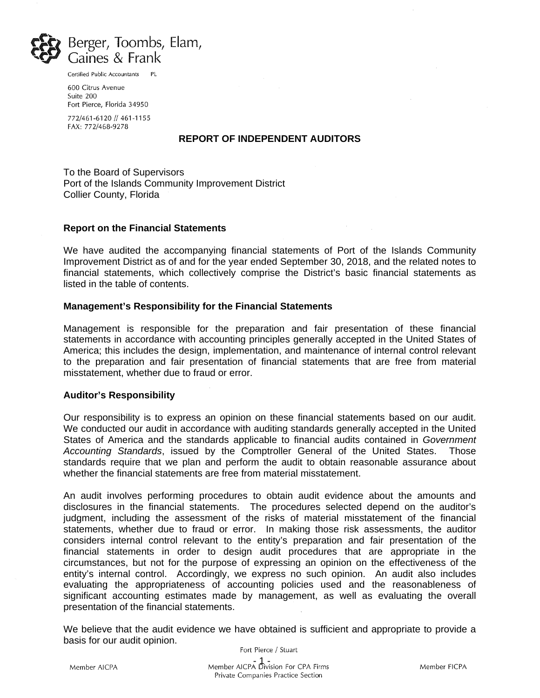

Certified Public Accountants PL

600 Citrus Avenue Suite 200 Fort Pierce, Florida 34950

772/461-6120 // 461-1155 FAX: 772/468-9278

#### **REPORT OF INDEPENDENT AUDITORS**

To the Board of Supervisors Port of the Islands Community Improvement District Collier County, Florida

#### **Report on the Financial Statements**

We have audited the accompanying financial statements of Port of the Islands Community Improvement District as of and for the year ended September 30, 2018, and the related notes to financial statements, which collectively comprise the District's basic financial statements as listed in the table of contents.

#### **Management's Responsibility for the Financial Statements**

Management is responsible for the preparation and fair presentation of these financial statements in accordance with accounting principles generally accepted in the United States of America; this includes the design, implementation, and maintenance of internal control relevant to the preparation and fair presentation of financial statements that are free from material misstatement, whether due to fraud or error.

#### **Auditor's Responsibility**

Our responsibility is to express an opinion on these financial statements based on our audit. We conducted our audit in accordance with auditing standards generally accepted in the United States of America and the standards applicable to financial audits contained in *Government Accounting Standards*, issued by the Comptroller General of the United States. Those standards require that we plan and perform the audit to obtain reasonable assurance about whether the financial statements are free from material misstatement.

An audit involves performing procedures to obtain audit evidence about the amounts and disclosures in the financial statements. The procedures selected depend on the auditor's judgment, including the assessment of the risks of material misstatement of the financial statements, whether due to fraud or error. In making those risk assessments, the auditor considers internal control relevant to the entity's preparation and fair presentation of the financial statements in order to design audit procedures that are appropriate in the circumstances, but not for the purpose of expressing an opinion on the effectiveness of the entity's internal control. Accordingly, we express no such opinion. An audit also includes evaluating the appropriateness of accounting policies used and the reasonableness of significant accounting estimates made by management, as well as evaluating the overall presentation of the financial statements.

We believe that the audit evidence we have obtained is sufficient and appropriate to provide a basis for our audit opinion.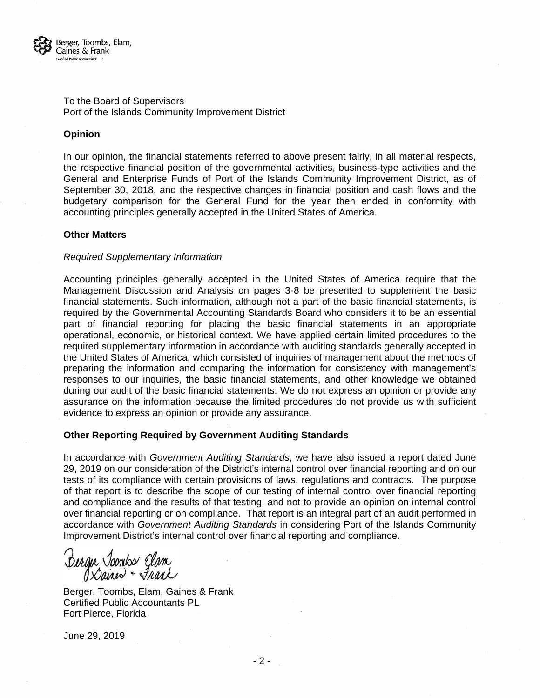

To the Board of Supervisors Port of the Islands Community Improvement District

#### **Opinion**

In our opinion, the financial statements referred to above present fairly, in all material respects, the respective financial position of the governmental activities, business-type activities and the General and Enterprise Funds of Port of the Islands Community Improvement District, as of September 30, 2018, and the respective changes in financial position and cash flows and the budgetary comparison for the General Fund for the year then ended in conformity with accounting principles generally accepted in the United States of America.

#### **Other Matters**

#### *Required Supplementary Information*

Accounting principles generally accepted in the United States of America require that the Management Discussion and Analysis on pages 3-8 be presented to supplement the basic financial statements. Such information, although not a part of the basic financial statements, is required by the Governmental Accounting Standards Board who considers it to be an essential part of financial reporting for placing the basic financial statements in an appropriate operational, economic, or historical context. We have applied certain limited procedures to the required supplementary information in accordance with auditing standards generally accepted in the United States of America, which consisted of inquiries of management about the methods of preparing the information and comparing the information for consistency with management's responses to our inquiries, the basic financial statements, and other knowledge we obtained during our audit of the basic financial statements. We do not express an opinion or provide any assurance on the information because the limited procedures do not provide us with sufficient evidence to express an opinion or provide any assurance.

#### **Other Reporting Required by Government Auditing Standards**

In accordance with *Government Auditing Standards*, we have also issued a report dated June 29, 2019 on our consideration of the District's internal control over financial reporting and on our tests of its compliance with certain provisions of laws, regulations and contracts. The purpose of that report is to describe the scope of our testing of internal control over financial reporting and compliance and the results of that testing, and not to provide an opinion on internal control over financial reporting or on compliance. That report is an integral part of an audit performed in accordance with *Government Auditing Standards* in considering Port of the Islands Community Improvement District's internal control over financial reporting and compliance.

Birgin Jamba Elam

Berger, Toombs, Elam, Gaines & Frank Certified Public Accountants PL Fort Pierce, Florida

June 29, 2019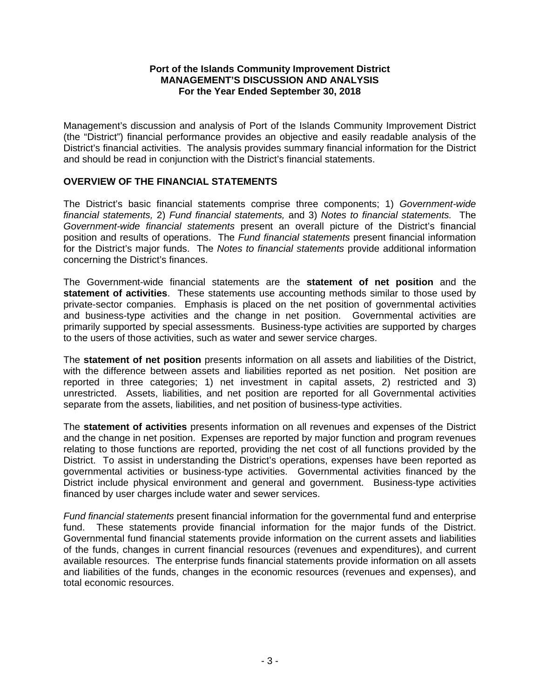Management's discussion and analysis of Port of the Islands Community Improvement District (the "District") financial performance provides an objective and easily readable analysis of the District's financial activities. The analysis provides summary financial information for the District and should be read in conjunction with the District's financial statements.

# **OVERVIEW OF THE FINANCIAL STATEMENTS**

The District's basic financial statements comprise three components; 1) *Government-wide financial statements,* 2) *Fund financial statements,* and 3) *Notes to financial statements.* The *Government-wide financial statements* present an overall picture of the District's financial position and results of operations. The *Fund financial statements* present financial information for the District's major funds. The *Notes to financial statements* provide additional information concerning the District's finances.

The Government-wide financial statements are the **statement of net position** and the **statement of activities**. These statements use accounting methods similar to those used by private-sector companies. Emphasis is placed on the net position of governmental activities and business-type activities and the change in net position. Governmental activities are primarily supported by special assessments. Business-type activities are supported by charges to the users of those activities, such as water and sewer service charges.

The **statement of net position** presents information on all assets and liabilities of the District, with the difference between assets and liabilities reported as net position. Net position are reported in three categories; 1) net investment in capital assets, 2) restricted and 3) unrestricted. Assets, liabilities, and net position are reported for all Governmental activities separate from the assets, liabilities, and net position of business-type activities.

The **statement of activities** presents information on all revenues and expenses of the District and the change in net position. Expenses are reported by major function and program revenues relating to those functions are reported, providing the net cost of all functions provided by the District. To assist in understanding the District's operations, expenses have been reported as governmental activities or business-type activities. Governmental activities financed by the District include physical environment and general and government. Business-type activities financed by user charges include water and sewer services.

*Fund financial statements* present financial information for the governmental fund and enterprise fund. These statements provide financial information for the major funds of the District. Governmental fund financial statements provide information on the current assets and liabilities of the funds, changes in current financial resources (revenues and expenditures), and current available resources. The enterprise funds financial statements provide information on all assets and liabilities of the funds, changes in the economic resources (revenues and expenses), and total economic resources.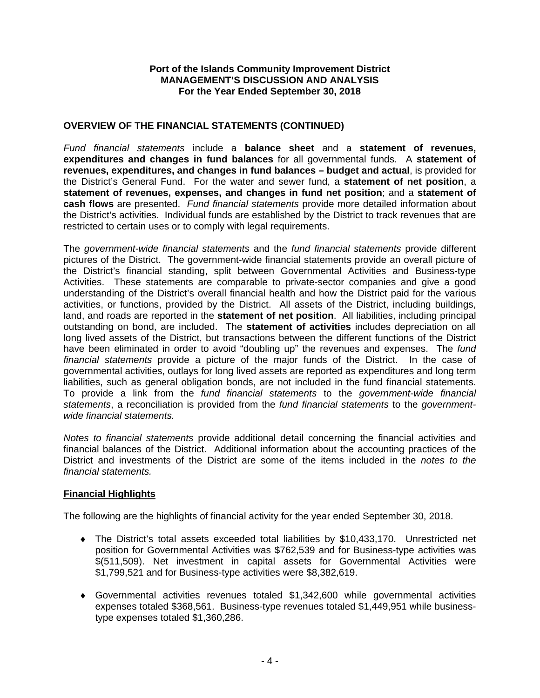# **OVERVIEW OF THE FINANCIAL STATEMENTS (CONTINUED)**

*Fund financial statements* include a **balance sheet** and a **statement of revenues, expenditures and changes in fund balances** for all governmental funds. A **statement of revenues, expenditures, and changes in fund balances – budget and actual**, is provided for the District's General Fund. For the water and sewer fund, a **statement of net position**, a **statement of revenues, expenses, and changes in fund net position**; and a **statement of cash flows** are presented. *Fund financial statements* provide more detailed information about the District's activities. Individual funds are established by the District to track revenues that are restricted to certain uses or to comply with legal requirements.

The *government-wide financial statements* and the *fund financial statements* provide different pictures of the District. The government-wide financial statements provide an overall picture of the District's financial standing, split between Governmental Activities and Business-type Activities. These statements are comparable to private-sector companies and give a good understanding of the District's overall financial health and how the District paid for the various activities, or functions, provided by the District. All assets of the District, including buildings, land, and roads are reported in the **statement of net position**. All liabilities, including principal outstanding on bond, are included. The **statement of activities** includes depreciation on all long lived assets of the District, but transactions between the different functions of the District have been eliminated in order to avoid "doubling up" the revenues and expenses. The *fund financial statements* provide a picture of the major funds of the District. In the case of governmental activities, outlays for long lived assets are reported as expenditures and long term liabilities, such as general obligation bonds, are not included in the fund financial statements. To provide a link from the *fund financial statements* to the *government-wide financial statements*, a reconciliation is provided from the *fund financial statements* to the *governmentwide financial statements.* 

*Notes to financial statements* provide additional detail concerning the financial activities and financial balances of the District. Additional information about the accounting practices of the District and investments of the District are some of the items included in the *notes to the financial statements.* 

## **Financial Highlights**

The following are the highlights of financial activity for the year ended September 30, 2018.

- The District's total assets exceeded total liabilities by \$10,433,170. Unrestricted net position for Governmental Activities was \$762,539 and for Business-type activities was \$(511,509). Net investment in capital assets for Governmental Activities were \$1,799,521 and for Business-type activities were \$8,382,619.
- Governmental activities revenues totaled \$1,342,600 while governmental activities expenses totaled \$368,561. Business-type revenues totaled \$1,449,951 while businesstype expenses totaled \$1,360,286.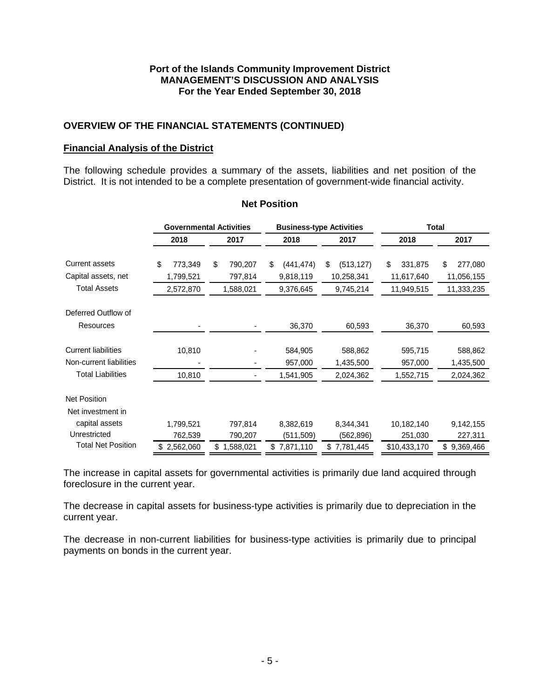# **OVERVIEW OF THE FINANCIAL STATEMENTS (CONTINUED)**

### **Financial Analysis of the District**

The following schedule provides a summary of the assets, liabilities and net position of the District. It is not intended to be a complete presentation of government-wide financial activity.

|                                          | <b>Governmental Activities</b> |                      | Total                  |                         |                          |                          |
|------------------------------------------|--------------------------------|----------------------|------------------------|-------------------------|--------------------------|--------------------------|
|                                          | 2018                           | 2017                 | 2018                   | 2017                    | 2018                     | 2017                     |
| Current assets<br>Capital assets, net    | \$<br>773,349                  | \$<br>790,207        | \$<br>(441, 474)       | \$<br>(513, 127)        | \$<br>331,875            | \$<br>277,080            |
| <b>Total Assets</b>                      | 1,799,521<br>2,572,870         | 797,814<br>1,588,021 | 9,818,119<br>9,376,645 | 10,258,341<br>9,745,214 | 11,617,640<br>11,949,515 | 11,056,155<br>11,333,235 |
| Deferred Outflow of<br><b>Resources</b>  |                                |                      | 36,370                 | 60,593                  | 36,370                   | 60,593                   |
|                                          |                                |                      |                        |                         |                          |                          |
| <b>Current liabilities</b>               | 10,810                         |                      | 584,905                | 588,862                 | 595,715                  | 588,862                  |
| Non-current liabilities                  |                                |                      | 957,000                | 1,435,500               | 957,000                  | 1,435,500                |
| <b>Total Liabilities</b>                 | 10,810                         |                      | 1,541,905              | 2,024,362               | 1,552,715                | 2,024,362                |
| <b>Net Position</b><br>Net investment in |                                |                      |                        |                         |                          |                          |
| capital assets                           | 1,799,521                      | 797,814              | 8,382,619              | 8,344,341               | 10,182,140               | 9,142,155                |
| Unrestricted                             | 762,539                        | 790,207              | (511,509)              | (562, 896)              | 251,030                  | 227,311                  |
| <b>Total Net Position</b>                | \$2,562,060                    | \$1,588,021          | \$7,871,110            | \$7,781,445             | \$10,433,170             | \$9,369,466              |

## **Net Position**

The increase in capital assets for governmental activities is primarily due land acquired through foreclosure in the current year.

The decrease in capital assets for business-type activities is primarily due to depreciation in the current year.

The decrease in non-current liabilities for business-type activities is primarily due to principal payments on bonds in the current year.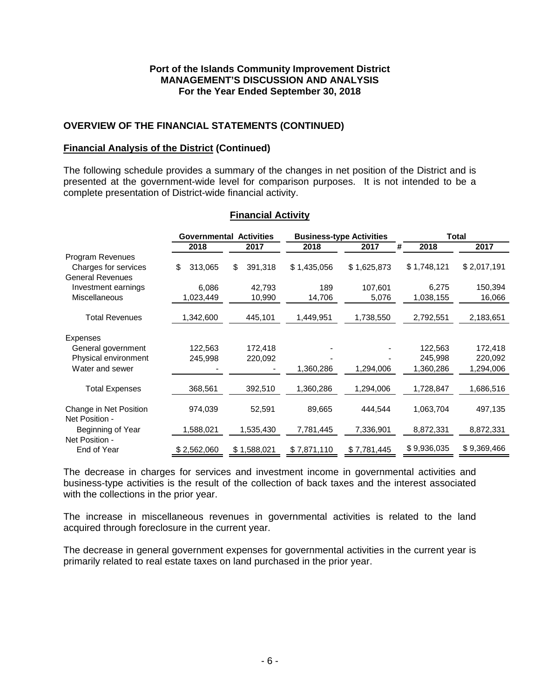# **OVERVIEW OF THE FINANCIAL STATEMENTS (CONTINUED)**

### **Financial Analysis of the District (Continued)**

The following schedule provides a summary of the changes in net position of the District and is presented at the government-wide level for comparison purposes. It is not intended to be a complete presentation of District-wide financial activity.

|                               |               | <b>Governmental Activities</b> | <b>Business-type Activities</b> |             |             | Total       |
|-------------------------------|---------------|--------------------------------|---------------------------------|-------------|-------------|-------------|
|                               | 2018          | 2017                           | 2018                            | 2017        | 2018<br>#   | 2017        |
| <b>Program Revenues</b>       |               |                                |                                 |             |             |             |
| Charges for services          | \$<br>313,065 | \$<br>391,318                  | \$1,435,056                     | \$1,625,873 | \$1,748,121 | \$2,017,191 |
| <b>General Revenues</b>       |               |                                |                                 |             |             |             |
| Investment earnings           | 6,086         | 42,793                         | 189                             | 107,601     | 6,275       | 150,394     |
| Miscellaneous                 | 1,023,449     | 10,990                         | 14,706                          | 5,076       | 1,038,155   | 16,066      |
| <b>Total Revenues</b>         | 1,342,600     | 445,101                        | 1,449,951                       | 1,738,550   | 2,792,551   | 2,183,651   |
| Expenses                      |               |                                |                                 |             |             |             |
| General government            | 122,563       | 172,418                        |                                 |             | 122,563     | 172,418     |
| Physical environment          | 245,998       | 220,092                        |                                 |             | 245,998     | 220,092     |
| Water and sewer               |               |                                | 1,360,286                       | 1,294,006   | 1,360,286   | 1,294,006   |
| <b>Total Expenses</b>         | 368,561       | 392,510                        | 1,360,286                       | 1,294,006   | 1,728,847   | 1,686,516   |
| Change in Net Position        | 974,039       | 52,591                         | 89,665                          | 444,544     | 1,063,704   | 497,135     |
| Net Position -                |               |                                |                                 |             |             |             |
| Beginning of Year             | 1,588,021     | 1,535,430                      | 7,781,445                       | 7,336,901   | 8,872,331   | 8,872,331   |
| Net Position -<br>End of Year | \$2,562,060   | \$1,588,021                    | \$7,871,110                     | \$7,781,445 | \$9,936,035 | \$9,369,466 |

#### **Financial Activity**

The decrease in charges for services and investment income in governmental activities and business-type activities is the result of the collection of back taxes and the interest associated with the collections in the prior year.

The increase in miscellaneous revenues in governmental activities is related to the land acquired through foreclosure in the current year.

The decrease in general government expenses for governmental activities in the current year is primarily related to real estate taxes on land purchased in the prior year.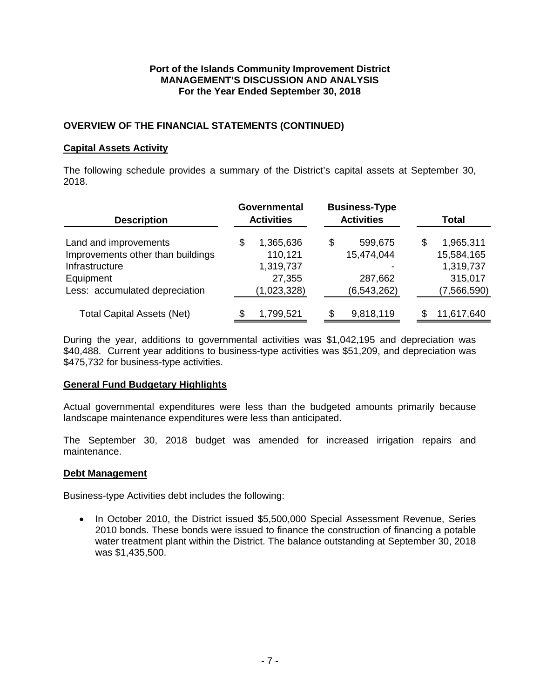# **OVERVIEW OF THE FINANCIAL STATEMENTS (CONTINUED)**

### **Capital Assets Activity**

The following schedule provides a summary of the District's capital assets at September 30, 2018.

| <b>Description</b>                |    | <b>Governmental</b><br><b>Activities</b> | <b>Business-Type</b><br><b>Activities</b> | Total           |  |  |
|-----------------------------------|----|------------------------------------------|-------------------------------------------|-----------------|--|--|
| Land and improvements             | \$ | 1,365,636                                | \$<br>599,675                             | \$<br>1,965,311 |  |  |
| Improvements other than buildings |    | 110,121                                  | 15,474,044                                | 15,584,165      |  |  |
| Infrastructure                    |    | 1,319,737                                |                                           | 1,319,737       |  |  |
| Equipment                         |    | 27,355                                   | 287,662                                   | 315,017         |  |  |
| Less: accumulated depreciation    |    | (1,023,328)                              | (6, 543, 262)                             | (7, 566, 590)   |  |  |
| <b>Total Capital Assets (Net)</b> |    | 1,799,521                                | \$<br>9,818,119                           | 11,617,640      |  |  |

During the year, additions to governmental activities was \$1,042,195 and depreciation was \$40,488. Current year additions to business-type activities was \$51,209, and depreciation was \$475,732 for business-type activities.

#### **General Fund Budgetary Highlights**

Actual governmental expenditures were less than the budgeted amounts primarily because landscape maintenance expenditures were less than anticipated.

The September 30, 2018 budget was amended for increased irrigation repairs and maintenance.

#### **Debt Management**

Business-type Activities debt includes the following:

• In October 2010, the District issued \$5,500,000 Special Assessment Revenue, Series 2010 bonds. These bonds were issued to finance the construction of financing a potable water treatment plant within the District. The balance outstanding at September 30, 2018 was \$1,435,500.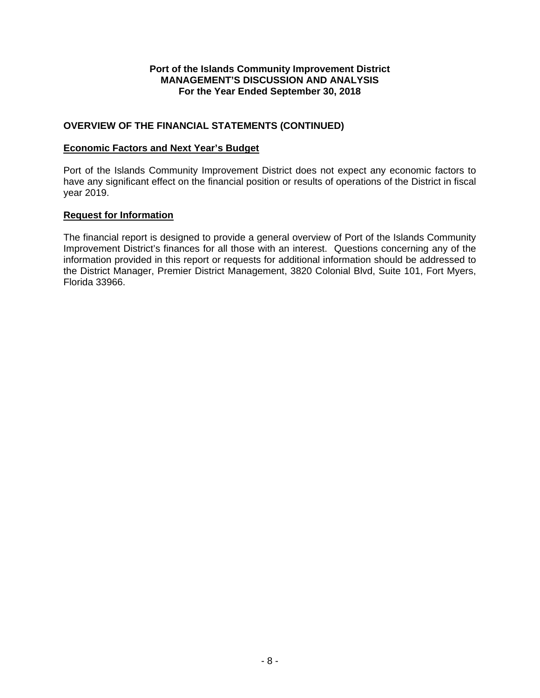# **OVERVIEW OF THE FINANCIAL STATEMENTS (CONTINUED)**

### **Economic Factors and Next Year's Budget**

Port of the Islands Community Improvement District does not expect any economic factors to have any significant effect on the financial position or results of operations of the District in fiscal year 2019.

## **Request for Information**

The financial report is designed to provide a general overview of Port of the Islands Community Improvement District's finances for all those with an interest. Questions concerning any of the information provided in this report or requests for additional information should be addressed to the District Manager, Premier District Management, 3820 Colonial Blvd, Suite 101, Fort Myers, Florida 33966.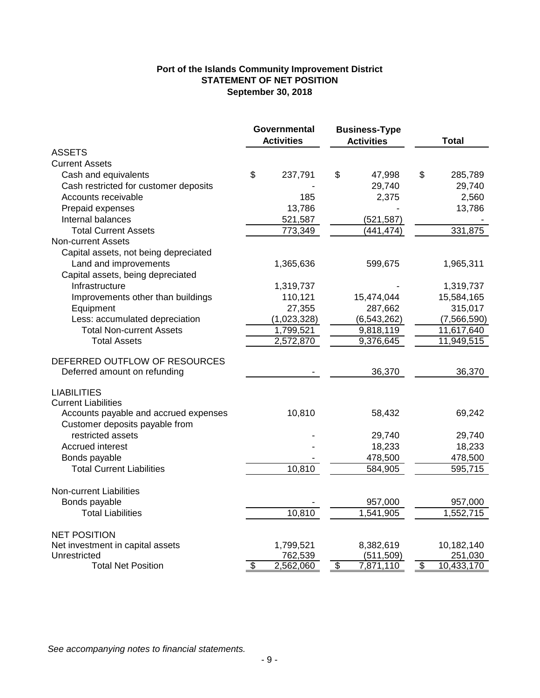## **Port of the Islands Community Improvement District STATEMENT OF NET POSITION September 30, 2018**

|                                       | <b>Governmental</b><br><b>Activities</b> |             | <b>Business-Type</b><br><b>Activities</b> |    | <b>Total</b>  |
|---------------------------------------|------------------------------------------|-------------|-------------------------------------------|----|---------------|
| <b>ASSETS</b>                         |                                          |             |                                           |    |               |
| <b>Current Assets</b>                 |                                          |             |                                           |    |               |
| Cash and equivalents                  | \$                                       | 237,791     | \$<br>47,998                              | \$ | 285,789       |
| Cash restricted for customer deposits |                                          |             | 29,740                                    |    | 29,740        |
| Accounts receivable                   |                                          | 185         | 2,375                                     |    | 2,560         |
| Prepaid expenses                      |                                          | 13,786      |                                           |    | 13,786        |
| Internal balances                     |                                          | 521,587     | (521, 587)                                |    |               |
| <b>Total Current Assets</b>           |                                          | 773,349     | (441, 474)                                |    | 331,875       |
| <b>Non-current Assets</b>             |                                          |             |                                           |    |               |
| Capital assets, not being depreciated |                                          |             |                                           |    |               |
| Land and improvements                 |                                          | 1,365,636   | 599,675                                   |    | 1,965,311     |
| Capital assets, being depreciated     |                                          |             |                                           |    |               |
| Infrastructure                        |                                          | 1,319,737   |                                           |    | 1,319,737     |
| Improvements other than buildings     |                                          | 110,121     | 15,474,044                                |    | 15,584,165    |
| Equipment                             |                                          | 27,355      | 287,662                                   |    | 315,017       |
| Less: accumulated depreciation        |                                          | (1,023,328) | (6, 543, 262)                             |    | (7, 566, 590) |
| <b>Total Non-current Assets</b>       |                                          | 1,799,521   | 9,818,119                                 |    | 11,617,640    |
| <b>Total Assets</b>                   |                                          | 2,572,870   | 9,376,645                                 |    | 11,949,515    |
| DEFERRED OUTFLOW OF RESOURCES         |                                          |             |                                           |    |               |
| Deferred amount on refunding          |                                          |             | 36,370                                    |    | 36,370        |
| <b>LIABILITIES</b>                    |                                          |             |                                           |    |               |
| <b>Current Liabilities</b>            |                                          |             |                                           |    |               |
| Accounts payable and accrued expenses |                                          | 10,810      | 58,432                                    |    | 69,242        |
| Customer deposits payable from        |                                          |             |                                           |    |               |
| restricted assets                     |                                          |             | 29,740                                    |    | 29,740        |
| <b>Accrued interest</b>               |                                          |             | 18,233                                    |    | 18,233        |
| Bonds payable                         |                                          |             | 478,500                                   |    | 478,500       |
| <b>Total Current Liabilities</b>      |                                          | 10,810      | 584,905                                   |    | 595,715       |
| <b>Non-current Liabilities</b>        |                                          |             |                                           |    |               |
| Bonds payable                         |                                          |             | 957,000                                   |    | 957,000       |
| <b>Total Liabilities</b>              |                                          | 10,810      | 1,541,905                                 |    | 1,552,715     |
| <b>NET POSITION</b>                   |                                          |             |                                           |    |               |
| Net investment in capital assets      |                                          | 1,799,521   | 8,382,619                                 |    | 10,182,140    |
| Unrestricted                          |                                          | 762,539     | (511,509)                                 |    | 251,030       |
| <b>Total Net Position</b>             | \$                                       | 2,562,060   | \$<br>7,871,110                           | \$ | 10,433,170    |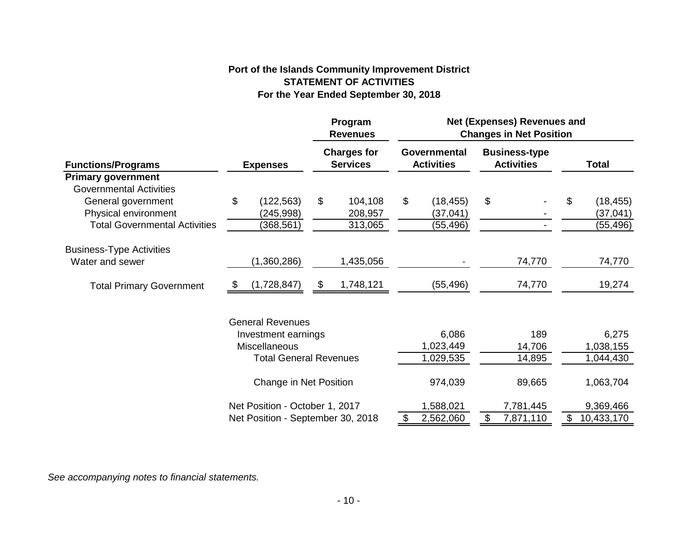# **Port of the Islands Community Improvement District STATEMENT OF ACTIVITIESFor the Year Ended September 30, 2018**

| <b>Functions/Programs</b>            |    |                                   | Program<br><b>Revenues</b> |                                       | Net (Expenses) Revenues and<br><b>Changes in Net Position</b> |                                   |    |                                           |    |              |  |
|--------------------------------------|----|-----------------------------------|----------------------------|---------------------------------------|---------------------------------------------------------------|-----------------------------------|----|-------------------------------------------|----|--------------|--|
|                                      |    | <b>Expenses</b>                   |                            | <b>Charges for</b><br><b>Services</b> |                                                               | Governmental<br><b>Activities</b> |    | <b>Business-type</b><br><b>Activities</b> |    | <b>Total</b> |  |
| <b>Primary government</b>            |    |                                   |                            |                                       |                                                               |                                   |    |                                           |    |              |  |
| <b>Governmental Activities</b>       |    |                                   |                            |                                       |                                                               |                                   |    |                                           |    |              |  |
| General government                   | \$ | (122, 563)                        | \$                         | 104,108                               | \$                                                            | (18, 455)                         | \$ |                                           | \$ | (18, 455)    |  |
| Physical environment                 |    | (245, 998)                        |                            | 208,957                               |                                                               | (37,041)                          |    |                                           |    | (37, 041)    |  |
| <b>Total Governmental Activities</b> |    | (368,561)                         |                            | 313,065                               |                                                               | (55,496)                          |    |                                           |    | (55,496)     |  |
| <b>Business-Type Activities</b>      |    |                                   |                            |                                       |                                                               |                                   |    |                                           |    |              |  |
| Water and sewer                      |    | (1,360,286)                       |                            | 1,435,056                             |                                                               |                                   |    | 74,770                                    |    | 74,770       |  |
| <b>Total Primary Government</b>      | \$ | (1,728,847)                       | $\mathcal{L}$              | 1,748,121                             |                                                               | (55, 496)                         |    | 74,770                                    |    | 19,274       |  |
|                                      |    | <b>General Revenues</b>           |                            |                                       |                                                               |                                   |    |                                           |    |              |  |
|                                      |    | Investment earnings               |                            |                                       |                                                               | 6,086                             |    | 189                                       |    | 6,275        |  |
|                                      |    | <b>Miscellaneous</b>              |                            |                                       |                                                               | 1,023,449                         |    | 14,706                                    |    | 1,038,155    |  |
|                                      |    | <b>Total General Revenues</b>     |                            |                                       |                                                               | 1,029,535                         |    | 14,895                                    |    | 1,044,430    |  |
|                                      |    | Change in Net Position            |                            |                                       |                                                               | 974,039                           |    | 89,665                                    |    | 1,063,704    |  |
|                                      |    | Net Position - October 1, 2017    |                            |                                       |                                                               | 1,588,021                         |    | 7,781,445                                 |    | 9,369,466    |  |
|                                      |    | Net Position - September 30, 2018 |                            |                                       | \$                                                            | 2,562,060                         | \$ | 7,871,110                                 | \$ | 10,433,170   |  |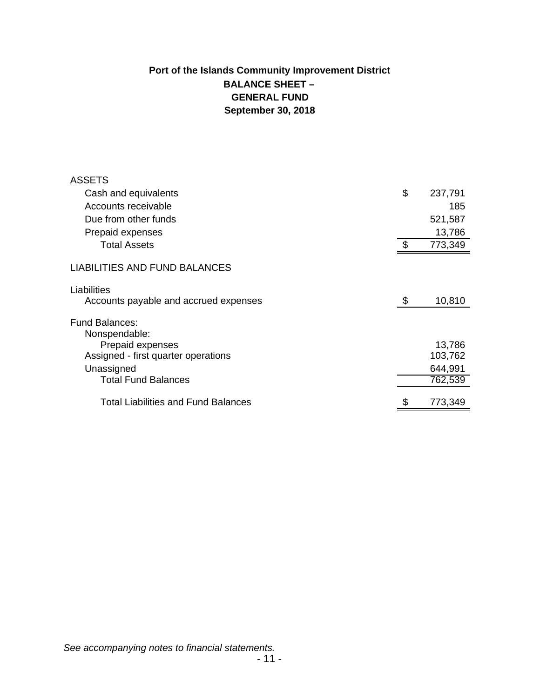# **Port of the Islands Community Improvement District BALANCE SHEET – GENERAL FUND September 30, 2018**

| <b>ASSETS</b>                              |               |
|--------------------------------------------|---------------|
| Cash and equivalents                       | \$<br>237,791 |
| Accounts receivable                        | 185           |
| Due from other funds                       | 521,587       |
| Prepaid expenses                           | 13,786        |
| <b>Total Assets</b>                        | \$<br>773,349 |
| <b>LIABILITIES AND FUND BALANCES</b>       |               |
| Liabilities                                |               |
| Accounts payable and accrued expenses      | \$<br>10,810  |
| <b>Fund Balances:</b>                      |               |
| Nonspendable:<br>Prepaid expenses          | 13,786        |
| Assigned - first quarter operations        | 103,762       |
| Unassigned                                 | 644,991       |
| <b>Total Fund Balances</b>                 | 762,539       |
| <b>Total Liabilities and Fund Balances</b> | \$<br>773,349 |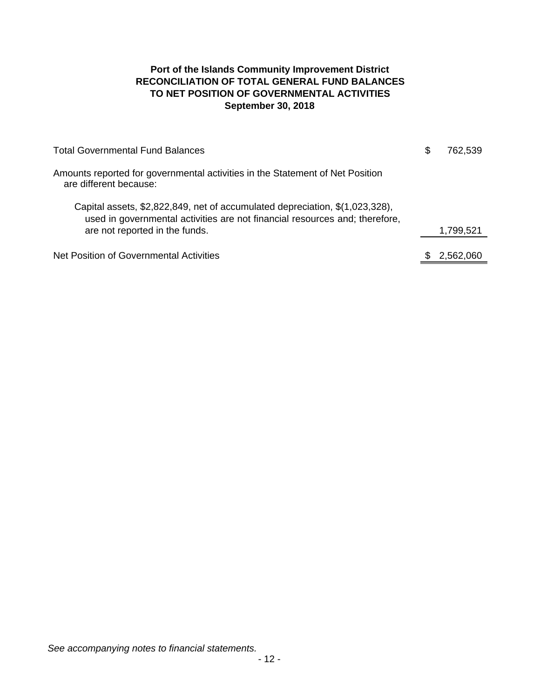# **Port of the Islands Community Improvement District RECONCILIATION OF TOTAL GENERAL FUND BALANCES TO NET POSITION OF GOVERNMENTAL ACTIVITIES September 30, 2018**

| <b>Total Governmental Fund Balances</b>                                                                                                                                                       | \$ | 762,539   |
|-----------------------------------------------------------------------------------------------------------------------------------------------------------------------------------------------|----|-----------|
| Amounts reported for governmental activities in the Statement of Net Position<br>are different because:                                                                                       |    |           |
| Capital assets, \$2,822,849, net of accumulated depreciation, \$(1,023,328),<br>used in governmental activities are not financial resources and; therefore,<br>are not reported in the funds. |    | 1,799,521 |
|                                                                                                                                                                                               |    |           |
| Net Position of Governmental Activities                                                                                                                                                       | S. | 2,562,060 |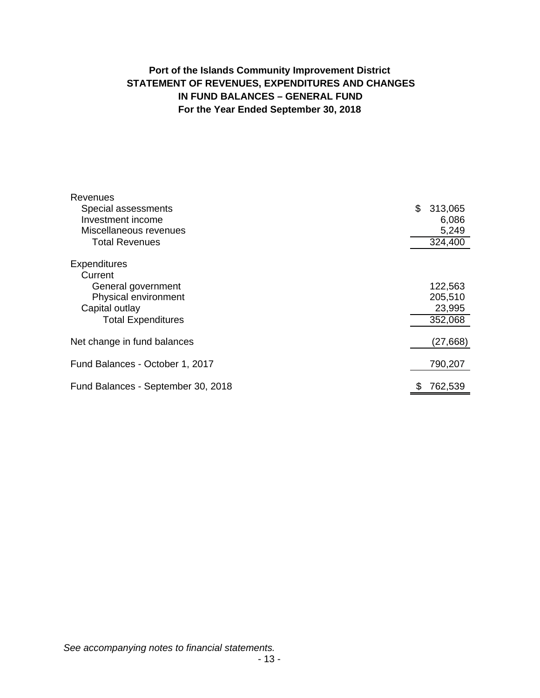# **Port of the Islands Community Improvement District STATEMENT OF REVENUES, EXPENDITURES AND CHANGES IN FUND BALANCES – GENERAL FUND For the Year Ended September 30, 2018**

| Revenues                           |               |
|------------------------------------|---------------|
| Special assessments                | \$<br>313,065 |
| Investment income                  | 6,086         |
| Miscellaneous revenues             | 5,249         |
| <b>Total Revenues</b>              | 324,400       |
| <b>Expenditures</b><br>Current     |               |
| General government                 | 122,563       |
| Physical environment               | 205,510       |
| Capital outlay                     | 23,995        |
| <b>Total Expenditures</b>          | 352,068       |
| Net change in fund balances        | (27, 668)     |
| Fund Balances - October 1, 2017    | 790,207       |
|                                    |               |
| Fund Balances - September 30, 2018 | 762,539       |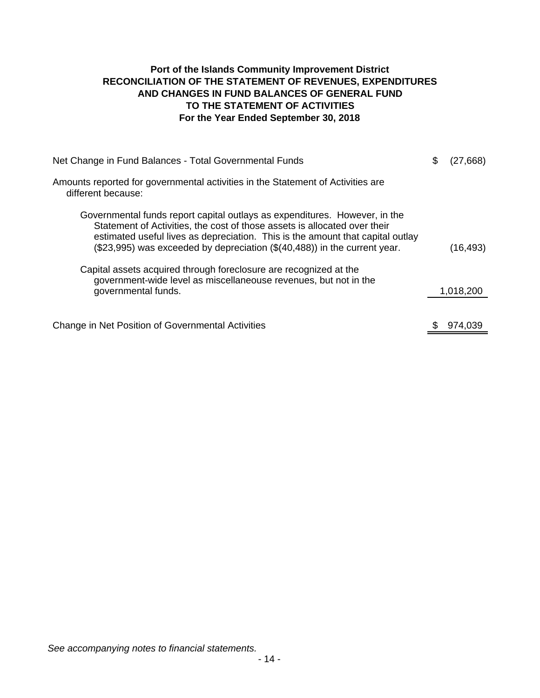# **Port of the Islands Community Improvement District RECONCILIATION OF THE STATEMENT OF REVENUES, EXPENDITURES AND CHANGES IN FUND BALANCES OF GENERAL FUND TO THE STATEMENT OF ACTIVITIES For the Year Ended September 30, 2018**

| Net Change in Fund Balances - Total Governmental Funds                                                                                                                                                                                                                                                                 | \$<br>(27, 668) |
|------------------------------------------------------------------------------------------------------------------------------------------------------------------------------------------------------------------------------------------------------------------------------------------------------------------------|-----------------|
| Amounts reported for governmental activities in the Statement of Activities are<br>different because:                                                                                                                                                                                                                  |                 |
| Governmental funds report capital outlays as expenditures. However, in the<br>Statement of Activities, the cost of those assets is allocated over their<br>estimated useful lives as depreciation. This is the amount that capital outlay<br>(\$23,995) was exceeded by depreciation (\$(40,488)) in the current year. | (16, 493)       |
| Capital assets acquired through foreclosure are recognized at the<br>government-wide level as miscellaneouse revenues, but not in the<br>governmental funds.                                                                                                                                                           | 1,018,200       |
| Change in Net Position of Governmental Activities                                                                                                                                                                                                                                                                      | 974.039         |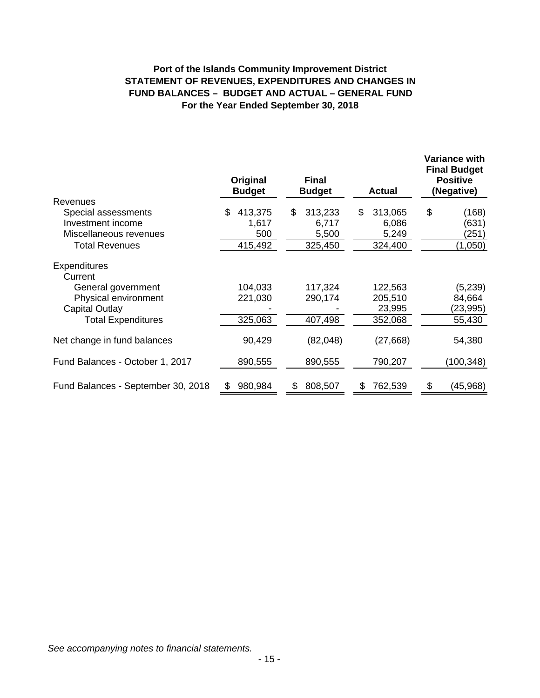# **Port of the Islands Community Improvement District STATEMENT OF REVENUES, EXPENDITURES AND CHANGES IN FUND BALANCES – BUDGET AND ACTUAL – GENERAL FUND For the Year Ended September 30, 2018**

|                                    | Original<br><b>Budget</b> | <b>Final</b><br><b>Budget</b> | Actual        | <b>Variance with</b><br><b>Final Budget</b><br><b>Positive</b><br>(Negative) |
|------------------------------------|---------------------------|-------------------------------|---------------|------------------------------------------------------------------------------|
| Revenues                           |                           |                               |               |                                                                              |
| Special assessments                | 413,375<br>S              | \$<br>313,233                 | 313,065<br>\$ | \$<br>(168)                                                                  |
| Investment income                  | 1,617                     | 6,717                         | 6,086         | (631)                                                                        |
| Miscellaneous revenues             | 500                       | 5,500                         | 5,249         | (251)                                                                        |
| <b>Total Revenues</b>              | 415,492                   | 325,450                       | 324,400       | (1,050)                                                                      |
| <b>Expenditures</b><br>Current     |                           |                               |               |                                                                              |
| General government                 | 104,033                   | 117,324                       | 122,563       | (5,239)                                                                      |
| Physical environment               | 221,030                   | 290,174                       | 205,510       | 84,664                                                                       |
| Capital Outlay                     |                           |                               | 23,995        | (23,995)                                                                     |
| <b>Total Expenditures</b>          | 325,063                   | 407,498                       | 352,068       | 55,430                                                                       |
| Net change in fund balances        | 90,429                    | (82,048)                      | (27, 668)     | 54,380                                                                       |
| Fund Balances - October 1, 2017    | 890,555                   | 890,555                       | 790,207       | (100,348)                                                                    |
| Fund Balances - September 30, 2018 | 980,984<br>\$             | 808,507                       | 762,539<br>S  | (45,968)                                                                     |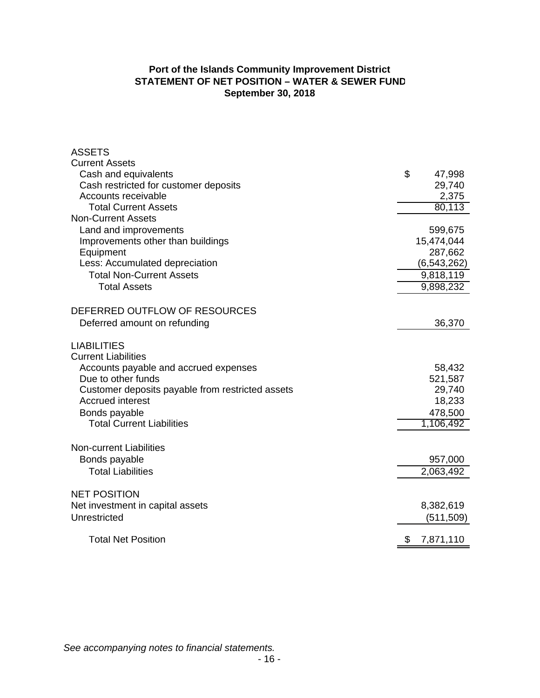# **Port of the Islands Community Improvement District STATEMENT OF NET POSITION – WATER & SEWER FUND September 30, 2018**

| <b>ASSETS</b>                                    |                 |
|--------------------------------------------------|-----------------|
| <b>Current Assets</b>                            |                 |
| Cash and equivalents                             | \$<br>47,998    |
| Cash restricted for customer deposits            | 29,740          |
| Accounts receivable                              | 2,375           |
| <b>Total Current Assets</b>                      | 80,113          |
| <b>Non-Current Assets</b>                        |                 |
| Land and improvements                            | 599,675         |
| Improvements other than buildings                | 15,474,044      |
| Equipment                                        | 287,662         |
| Less: Accumulated depreciation                   | (6, 543, 262)   |
| <b>Total Non-Current Assets</b>                  | 9,818,119       |
| <b>Total Assets</b>                              | 9,898,232       |
|                                                  |                 |
| DEFERRED OUTFLOW OF RESOURCES                    |                 |
| Deferred amount on refunding                     | 36,370          |
| <b>LIABILITIES</b>                               |                 |
| <b>Current Liabilities</b>                       |                 |
| Accounts payable and accrued expenses            | 58,432          |
| Due to other funds                               | 521,587         |
| Customer deposits payable from restricted assets | 29,740          |
| <b>Accrued interest</b>                          | 18,233          |
| Bonds payable                                    | 478,500         |
| <b>Total Current Liabilities</b>                 | 1,106,492       |
|                                                  |                 |
| <b>Non-current Liabilities</b>                   |                 |
| Bonds payable                                    | 957,000         |
| <b>Total Liabilities</b>                         | 2,063,492       |
| <b>NET POSITION</b>                              |                 |
| Net investment in capital assets                 | 8,382,619       |
| Unrestricted                                     | (511,509)       |
|                                                  |                 |
| <b>Total Net Position</b>                        | \$<br>7,871,110 |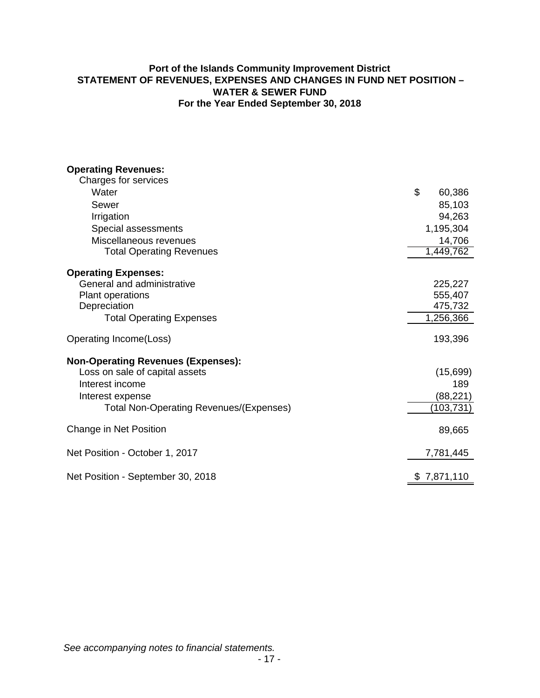# **Port of the Islands Community Improvement District For the Year Ended September 30, 2018 STATEMENT OF REVENUES, EXPENSES AND CHANGES IN FUND NET POSITION – WATER & SEWER FUND**

| <b>Operating Revenues:</b>                     |              |
|------------------------------------------------|--------------|
| Charges for services                           |              |
| Water                                          | \$<br>60,386 |
| Sewer                                          | 85,103       |
| Irrigation                                     | 94,263       |
| Special assessments                            | 1,195,304    |
| Miscellaneous revenues                         | 14,706       |
| <b>Total Operating Revenues</b>                | 1,449,762    |
| <b>Operating Expenses:</b>                     |              |
| General and administrative                     | 225,227      |
| <b>Plant operations</b>                        | 555,407      |
| Depreciation                                   | 475,732      |
| <b>Total Operating Expenses</b>                | 1,256,366    |
| Operating Income(Loss)                         | 193,396      |
| <b>Non-Operating Revenues (Expenses):</b>      |              |
| Loss on sale of capital assets                 | (15,699)     |
| Interest income                                | 189          |
| Interest expense                               | (88, 221)    |
| <b>Total Non-Operating Revenues/(Expenses)</b> | (103,731)    |
| Change in Net Position                         | 89,665       |
| Net Position - October 1, 2017                 | 7,781,445    |
| Net Position - September 30, 2018              | \$7,871,110  |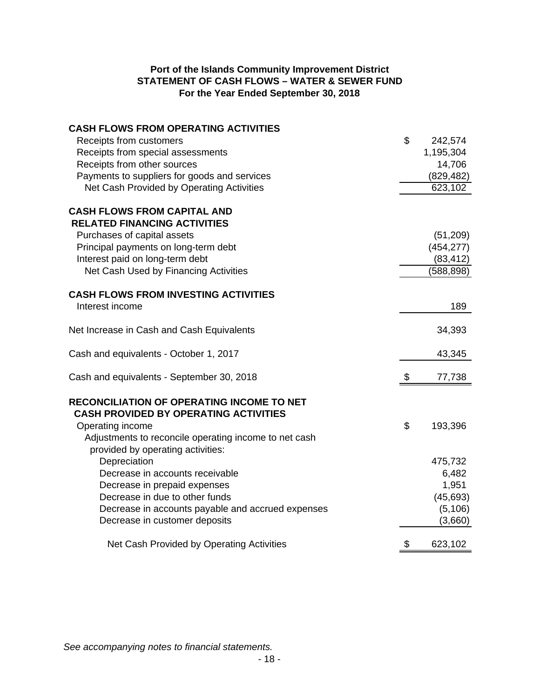# **Port of the Islands Community Improvement District STATEMENT OF CASH FLOWS – WATER & SEWER FUND For the Year Ended September 30, 2018**

| <b>CASH FLOWS FROM OPERATING ACTIVITIES</b>           |               |
|-------------------------------------------------------|---------------|
| Receipts from customers                               | \$<br>242,574 |
| Receipts from special assessments                     | 1,195,304     |
| Receipts from other sources                           | 14,706        |
| Payments to suppliers for goods and services          | (829, 482)    |
| Net Cash Provided by Operating Activities             | 623,102       |
|                                                       |               |
| <b>CASH FLOWS FROM CAPITAL AND</b>                    |               |
| <b>RELATED FINANCING ACTIVITIES</b>                   |               |
| Purchases of capital assets                           | (51, 209)     |
| Principal payments on long-term debt                  | (454, 277)    |
| Interest paid on long-term debt                       | (83, 412)     |
| Net Cash Used by Financing Activities                 | (588, 898)    |
|                                                       |               |
| <b>CASH FLOWS FROM INVESTING ACTIVITIES</b>           |               |
| Interest income                                       | 189           |
|                                                       |               |
| Net Increase in Cash and Cash Equivalents             | 34,393        |
|                                                       |               |
| Cash and equivalents - October 1, 2017                | 43,345        |
| Cash and equivalents - September 30, 2018             | \$<br>77,738  |
| <b>RECONCILIATION OF OPERATING INCOME TO NET</b>      |               |
| <b>CASH PROVIDED BY OPERATING ACTIVITIES</b>          |               |
| Operating income                                      | \$<br>193,396 |
| Adjustments to reconcile operating income to net cash |               |
| provided by operating activities:                     |               |
| Depreciation                                          | 475,732       |
| Decrease in accounts receivable                       | 6,482         |
| Decrease in prepaid expenses                          | 1,951         |
| Decrease in due to other funds                        | (45, 693)     |
| Decrease in accounts payable and accrued expenses     | (5, 106)      |
| Decrease in customer deposits                         | (3,660)       |
|                                                       |               |
| Net Cash Provided by Operating Activities             | \$<br>623,102 |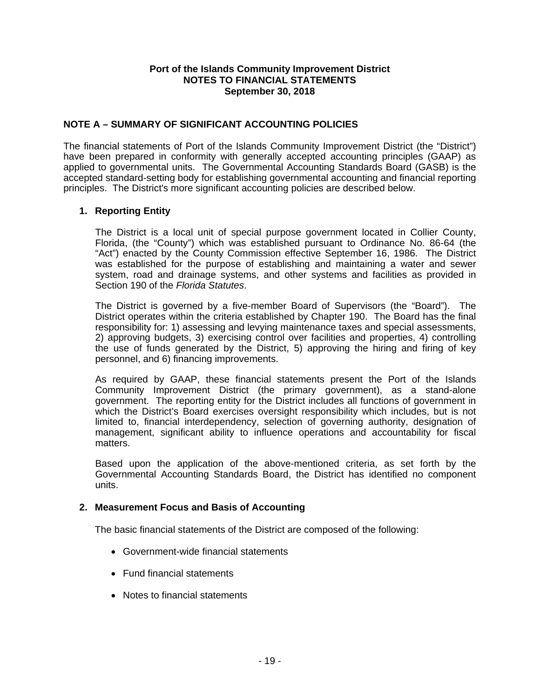## **NOTE A – SUMMARY OF SIGNIFICANT ACCOUNTING POLICIES**

The financial statements of Port of the Islands Community Improvement District (the "District") have been prepared in conformity with generally accepted accounting principles (GAAP) as applied to governmental units. The Governmental Accounting Standards Board (GASB) is the accepted standard-setting body for establishing governmental accounting and financial reporting principles. The District's more significant accounting policies are described below.

## **1. Reporting Entity**

The District is a local unit of special purpose government located in Collier County, Florida, (the "County") which was established pursuant to Ordinance No. 86-64 (the "Act") enacted by the County Commission effective September 16, 1986. The District was established for the purpose of establishing and maintaining a water and sewer system, road and drainage systems, and other systems and facilities as provided in Section 190 of the *Florida Statutes*.

The District is governed by a five-member Board of Supervisors (the "Board"). The District operates within the criteria established by Chapter 190. The Board has the final responsibility for: 1) assessing and levying maintenance taxes and special assessments, 2) approving budgets, 3) exercising control over facilities and properties, 4) controlling the use of funds generated by the District, 5) approving the hiring and firing of key personnel, and 6) financing improvements.

As required by GAAP, these financial statements present the Port of the Islands Community Improvement District (the primary government), as a stand-alone government. The reporting entity for the District includes all functions of government in which the District's Board exercises oversight responsibility which includes, but is not limited to, financial interdependency, selection of governing authority, designation of management, significant ability to influence operations and accountability for fiscal matters.

Based upon the application of the above-mentioned criteria, as set forth by the Governmental Accounting Standards Board, the District has identified no component units.

# **2. Measurement Focus and Basis of Accounting**

The basic financial statements of the District are composed of the following:

- Government-wide financial statements
- Fund financial statements
- Notes to financial statements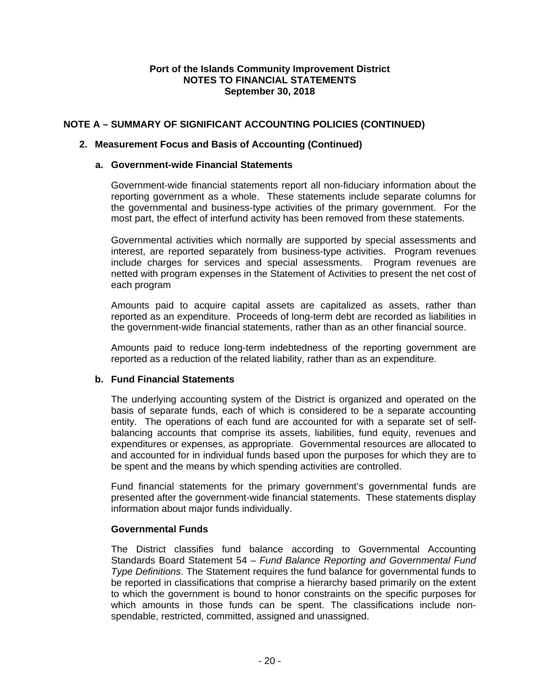# **NOTE A – SUMMARY OF SIGNIFICANT ACCOUNTING POLICIES (CONTINUED)**

### **2. Measurement Focus and Basis of Accounting (Continued)**

### **a. Government-wide Financial Statements**

Government-wide financial statements report all non-fiduciary information about the reporting government as a whole. These statements include separate columns for the governmental and business-type activities of the primary government. For the most part, the effect of interfund activity has been removed from these statements.

Governmental activities which normally are supported by special assessments and interest, are reported separately from business-type activities. Program revenues include charges for services and special assessments. Program revenues are netted with program expenses in the Statement of Activities to present the net cost of each program

Amounts paid to acquire capital assets are capitalized as assets, rather than reported as an expenditure. Proceeds of long-term debt are recorded as liabilities in the government-wide financial statements, rather than as an other financial source.

Amounts paid to reduce long-term indebtedness of the reporting government are reported as a reduction of the related liability, rather than as an expenditure.

## **b. Fund Financial Statements**

The underlying accounting system of the District is organized and operated on the basis of separate funds, each of which is considered to be a separate accounting entity. The operations of each fund are accounted for with a separate set of selfbalancing accounts that comprise its assets, liabilities, fund equity, revenues and expenditures or expenses, as appropriate. Governmental resources are allocated to and accounted for in individual funds based upon the purposes for which they are to be spent and the means by which spending activities are controlled.

Fund financial statements for the primary government's governmental funds are presented after the government-wide financial statements. These statements display information about major funds individually.

#### **Governmental Funds**

The District classifies fund balance according to Governmental Accounting Standards Board Statement 54 – *Fund Balance Reporting and Governmental Fund Type Definitions*. The Statement requires the fund balance for governmental funds to be reported in classifications that comprise a hierarchy based primarily on the extent to which the government is bound to honor constraints on the specific purposes for which amounts in those funds can be spent. The classifications include nonspendable, restricted, committed, assigned and unassigned.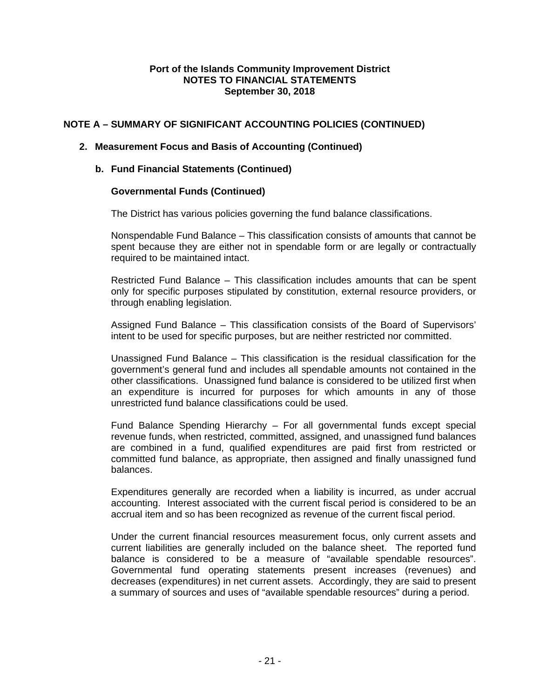# **NOTE A – SUMMARY OF SIGNIFICANT ACCOUNTING POLICIES (CONTINUED)**

### **2. Measurement Focus and Basis of Accounting (Continued)**

### **b. Fund Financial Statements (Continued)**

### **Governmental Funds (Continued)**

The District has various policies governing the fund balance classifications.

Nonspendable Fund Balance – This classification consists of amounts that cannot be spent because they are either not in spendable form or are legally or contractually required to be maintained intact.

Restricted Fund Balance *–* This classification includes amounts that can be spent only for specific purposes stipulated by constitution, external resource providers, or through enabling legislation.

Assigned Fund Balance – This classification consists of the Board of Supervisors' intent to be used for specific purposes, but are neither restricted nor committed.

Unassigned Fund Balance – This classification is the residual classification for the government's general fund and includes all spendable amounts not contained in the other classifications. Unassigned fund balance is considered to be utilized first when an expenditure is incurred for purposes for which amounts in any of those unrestricted fund balance classifications could be used.

Fund Balance Spending Hierarchy – For all governmental funds except special revenue funds, when restricted, committed, assigned, and unassigned fund balances are combined in a fund, qualified expenditures are paid first from restricted or committed fund balance, as appropriate, then assigned and finally unassigned fund balances.

Expenditures generally are recorded when a liability is incurred, as under accrual accounting. Interest associated with the current fiscal period is considered to be an accrual item and so has been recognized as revenue of the current fiscal period.

Under the current financial resources measurement focus, only current assets and current liabilities are generally included on the balance sheet. The reported fund balance is considered to be a measure of "available spendable resources". Governmental fund operating statements present increases (revenues) and decreases (expenditures) in net current assets. Accordingly, they are said to present a summary of sources and uses of "available spendable resources" during a period.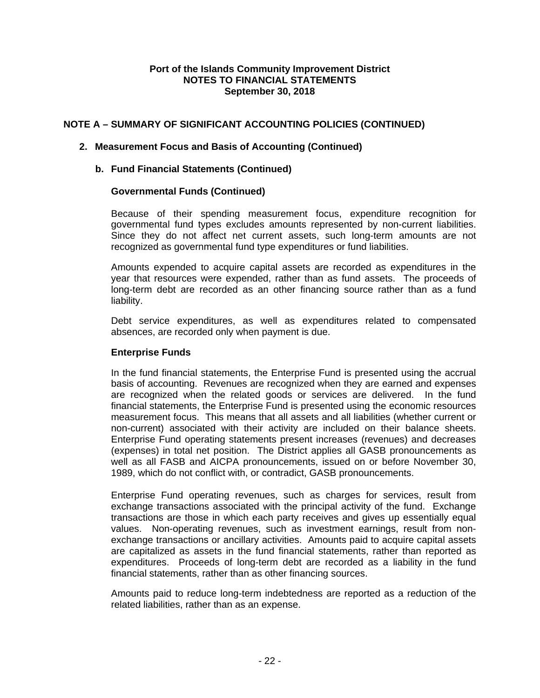# **NOTE A – SUMMARY OF SIGNIFICANT ACCOUNTING POLICIES (CONTINUED)**

### **2. Measurement Focus and Basis of Accounting (Continued)**

### **b. Fund Financial Statements (Continued)**

### **Governmental Funds (Continued)**

Because of their spending measurement focus, expenditure recognition for governmental fund types excludes amounts represented by non-current liabilities. Since they do not affect net current assets, such long-term amounts are not recognized as governmental fund type expenditures or fund liabilities.

Amounts expended to acquire capital assets are recorded as expenditures in the year that resources were expended, rather than as fund assets. The proceeds of long-term debt are recorded as an other financing source rather than as a fund liability.

Debt service expenditures, as well as expenditures related to compensated absences, are recorded only when payment is due.

### **Enterprise Funds**

In the fund financial statements, the Enterprise Fund is presented using the accrual basis of accounting. Revenues are recognized when they are earned and expenses are recognized when the related goods or services are delivered. In the fund financial statements, the Enterprise Fund is presented using the economic resources measurement focus. This means that all assets and all liabilities (whether current or non-current) associated with their activity are included on their balance sheets. Enterprise Fund operating statements present increases (revenues) and decreases (expenses) in total net position. The District applies all GASB pronouncements as well as all FASB and AICPA pronouncements, issued on or before November 30, 1989, which do not conflict with, or contradict, GASB pronouncements.

Enterprise Fund operating revenues, such as charges for services, result from exchange transactions associated with the principal activity of the fund. Exchange transactions are those in which each party receives and gives up essentially equal values. Non-operating revenues, such as investment earnings, result from nonexchange transactions or ancillary activities. Amounts paid to acquire capital assets are capitalized as assets in the fund financial statements, rather than reported as expenditures. Proceeds of long-term debt are recorded as a liability in the fund financial statements, rather than as other financing sources.

Amounts paid to reduce long-term indebtedness are reported as a reduction of the related liabilities, rather than as an expense.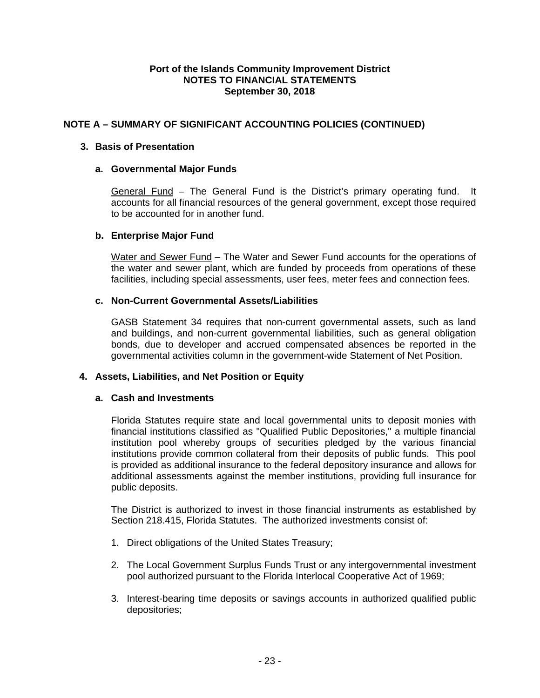# **NOTE A – SUMMARY OF SIGNIFICANT ACCOUNTING POLICIES (CONTINUED)**

### **3. Basis of Presentation**

### **a. Governmental Major Funds**

General Fund – The General Fund is the District's primary operating fund. It accounts for all financial resources of the general government, except those required to be accounted for in another fund.

### **b. Enterprise Major Fund**

Water and Sewer Fund – The Water and Sewer Fund accounts for the operations of the water and sewer plant, which are funded by proceeds from operations of these facilities, including special assessments, user fees, meter fees and connection fees.

### **c. Non-Current Governmental Assets/Liabilities**

GASB Statement 34 requires that non-current governmental assets, such as land and buildings, and non-current governmental liabilities, such as general obligation bonds, due to developer and accrued compensated absences be reported in the governmental activities column in the government-wide Statement of Net Position.

## **4. Assets, Liabilities, and Net Position or Equity**

#### **a. Cash and Investments**

Florida Statutes require state and local governmental units to deposit monies with financial institutions classified as "Qualified Public Depositories," a multiple financial institution pool whereby groups of securities pledged by the various financial institutions provide common collateral from their deposits of public funds. This pool is provided as additional insurance to the federal depository insurance and allows for additional assessments against the member institutions, providing full insurance for public deposits.

The District is authorized to invest in those financial instruments as established by Section 218.415, Florida Statutes. The authorized investments consist of:

- 1. Direct obligations of the United States Treasury;
- 2. The Local Government Surplus Funds Trust or any intergovernmental investment pool authorized pursuant to the Florida Interlocal Cooperative Act of 1969;
- 3. Interest-bearing time deposits or savings accounts in authorized qualified public depositories;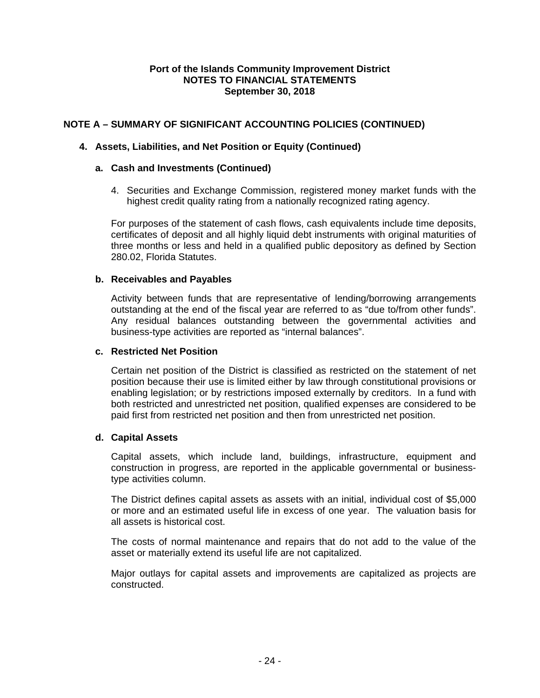# **NOTE A – SUMMARY OF SIGNIFICANT ACCOUNTING POLICIES (CONTINUED)**

### **4. Assets, Liabilities, and Net Position or Equity (Continued)**

#### **a. Cash and Investments (Continued)**

4. Securities and Exchange Commission, registered money market funds with the highest credit quality rating from a nationally recognized rating agency.

For purposes of the statement of cash flows, cash equivalents include time deposits, certificates of deposit and all highly liquid debt instruments with original maturities of three months or less and held in a qualified public depository as defined by Section 280.02, Florida Statutes.

### **b. Receivables and Payables**

Activity between funds that are representative of lending/borrowing arrangements outstanding at the end of the fiscal year are referred to as "due to/from other funds". Any residual balances outstanding between the governmental activities and business-type activities are reported as "internal balances".

#### **c. Restricted Net Position**

Certain net position of the District is classified as restricted on the statement of net position because their use is limited either by law through constitutional provisions or enabling legislation; or by restrictions imposed externally by creditors. In a fund with both restricted and unrestricted net position, qualified expenses are considered to be paid first from restricted net position and then from unrestricted net position.

#### **d. Capital Assets**

Capital assets, which include land, buildings, infrastructure, equipment and construction in progress, are reported in the applicable governmental or businesstype activities column.

The District defines capital assets as assets with an initial, individual cost of \$5,000 or more and an estimated useful life in excess of one year. The valuation basis for all assets is historical cost.

The costs of normal maintenance and repairs that do not add to the value of the asset or materially extend its useful life are not capitalized.

Major outlays for capital assets and improvements are capitalized as projects are constructed.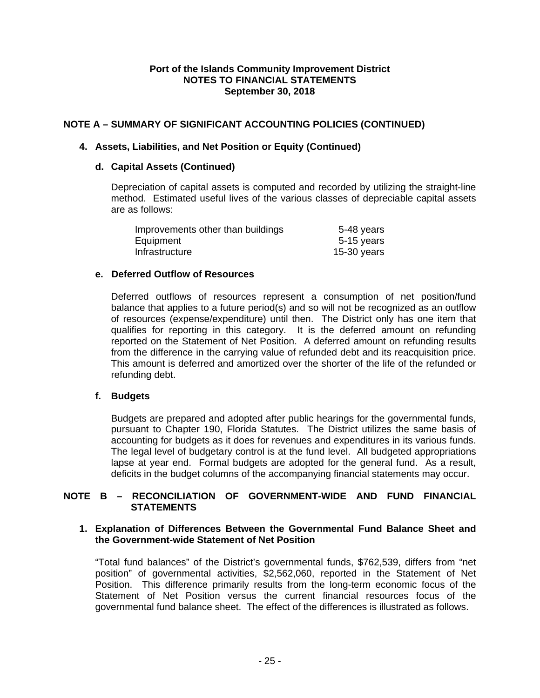# **NOTE A – SUMMARY OF SIGNIFICANT ACCOUNTING POLICIES (CONTINUED)**

### **4. Assets, Liabilities, and Net Position or Equity (Continued)**

### **d. Capital Assets (Continued)**

Depreciation of capital assets is computed and recorded by utilizing the straight-line method. Estimated useful lives of the various classes of depreciable capital assets are as follows:

| Improvements other than buildings | 5-48 years    |
|-----------------------------------|---------------|
| Equipment                         | 5-15 years    |
| Infrastructure                    | $15-30$ years |

### **e. Deferred Outflow of Resources**

Deferred outflows of resources represent a consumption of net position/fund balance that applies to a future period(s) and so will not be recognized as an outflow of resources (expense/expenditure) until then. The District only has one item that qualifies for reporting in this category. It is the deferred amount on refunding reported on the Statement of Net Position. A deferred amount on refunding results from the difference in the carrying value of refunded debt and its reacquisition price. This amount is deferred and amortized over the shorter of the life of the refunded or refunding debt.

## **f. Budgets**

Budgets are prepared and adopted after public hearings for the governmental funds, pursuant to Chapter 190, Florida Statutes. The District utilizes the same basis of accounting for budgets as it does for revenues and expenditures in its various funds. The legal level of budgetary control is at the fund level. All budgeted appropriations lapse at year end. Formal budgets are adopted for the general fund. As a result, deficits in the budget columns of the accompanying financial statements may occur.

### **NOTE B – RECONCILIATION OF GOVERNMENT-WIDE AND FUND FINANCIAL STATEMENTS**

### **1. Explanation of Differences Between the Governmental Fund Balance Sheet and the Government-wide Statement of Net Position**

"Total fund balances" of the District's governmental funds, \$762,539, differs from "net position" of governmental activities, \$2,562,060, reported in the Statement of Net Position. This difference primarily results from the long-term economic focus of the Statement of Net Position versus the current financial resources focus of the governmental fund balance sheet. The effect of the differences is illustrated as follows.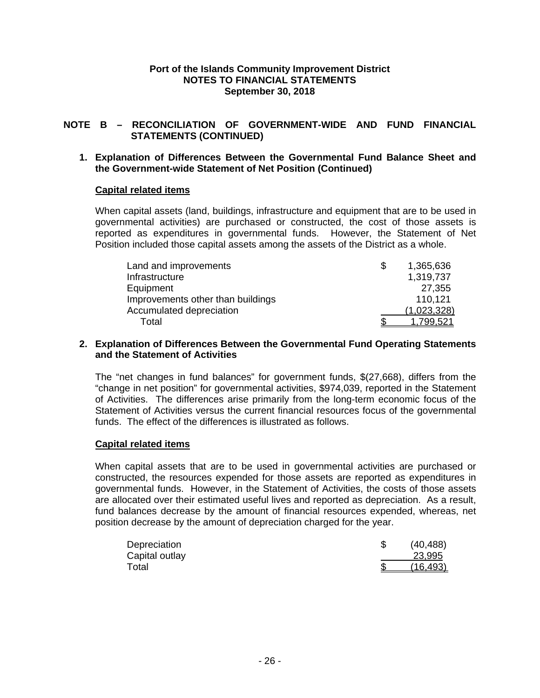## **NOTE B – RECONCILIATION OF GOVERNMENT-WIDE AND FUND FINANCIAL STATEMENTS (CONTINUED)**

 **1. Explanation of Differences Between the Governmental Fund Balance Sheet and the Government-wide Statement of Net Position (Continued)** 

### **Capital related items**

When capital assets (land, buildings, infrastructure and equipment that are to be used in governmental activities) are purchased or constructed, the cost of those assets is reported as expenditures in governmental funds. However, the Statement of Net Position included those capital assets among the assets of the District as a whole.

| Land and improvements             | S | 1,365,636   |
|-----------------------------------|---|-------------|
| Infrastructure                    |   | 1,319,737   |
| Equipment                         |   | 27,355      |
| Improvements other than buildings |   | 110.121     |
| Accumulated depreciation          |   | (1,023,328) |
| Total                             |   | 1.799.521   |

#### **2. Explanation of Differences Between the Governmental Fund Operating Statements and the Statement of Activities**

The "net changes in fund balances" for government funds, \$(27,668), differs from the "change in net position" for governmental activities, \$974,039, reported in the Statement of Activities. The differences arise primarily from the long-term economic focus of the Statement of Activities versus the current financial resources focus of the governmental funds. The effect of the differences is illustrated as follows.

#### **Capital related items**

When capital assets that are to be used in governmental activities are purchased or constructed, the resources expended for those assets are reported as expenditures in governmental funds. However, in the Statement of Activities, the costs of those assets are allocated over their estimated useful lives and reported as depreciation. As a result, fund balances decrease by the amount of financial resources expended, whereas, net position decrease by the amount of depreciation charged for the year.

| Depreciation              | (40, 488) |
|---------------------------|-----------|
| Capital outlay            | 23,995    |
| $\mathop{\mathsf{Total}}$ | (16, 493) |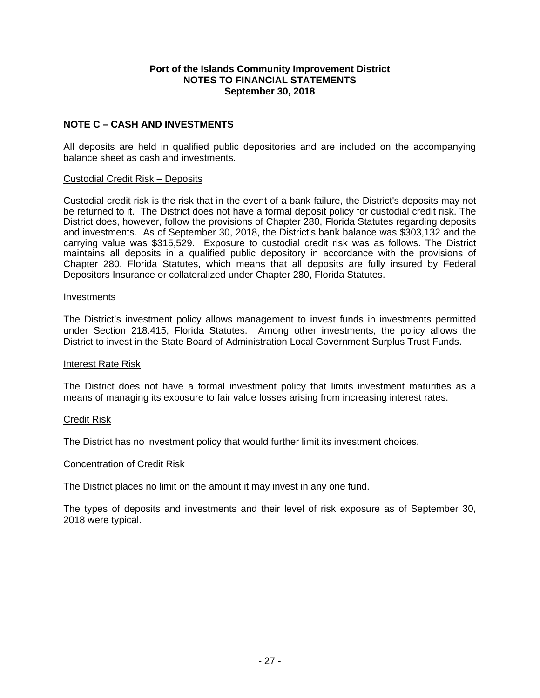# **NOTE C – CASH AND INVESTMENTS**

All deposits are held in qualified public depositories and are included on the accompanying balance sheet as cash and investments.

### Custodial Credit Risk – Deposits

Custodial credit risk is the risk that in the event of a bank failure, the District's deposits may not be returned to it. The District does not have a formal deposit policy for custodial credit risk. The District does, however, follow the provisions of Chapter 280, Florida Statutes regarding deposits and investments. As of September 30, 2018, the District's bank balance was \$303,132 and the carrying value was \$315,529. Exposure to custodial credit risk was as follows. The District maintains all deposits in a qualified public depository in accordance with the provisions of Chapter 280, Florida Statutes, which means that all deposits are fully insured by Federal Depositors Insurance or collateralized under Chapter 280, Florida Statutes.

#### **Investments**

The District's investment policy allows management to invest funds in investments permitted under Section 218.415, Florida Statutes. Among other investments, the policy allows the District to invest in the State Board of Administration Local Government Surplus Trust Funds.

#### Interest Rate Risk

The District does not have a formal investment policy that limits investment maturities as a means of managing its exposure to fair value losses arising from increasing interest rates.

#### Credit Risk

The District has no investment policy that would further limit its investment choices.

#### Concentration of Credit Risk

The District places no limit on the amount it may invest in any one fund.

The types of deposits and investments and their level of risk exposure as of September 30, 2018 were typical.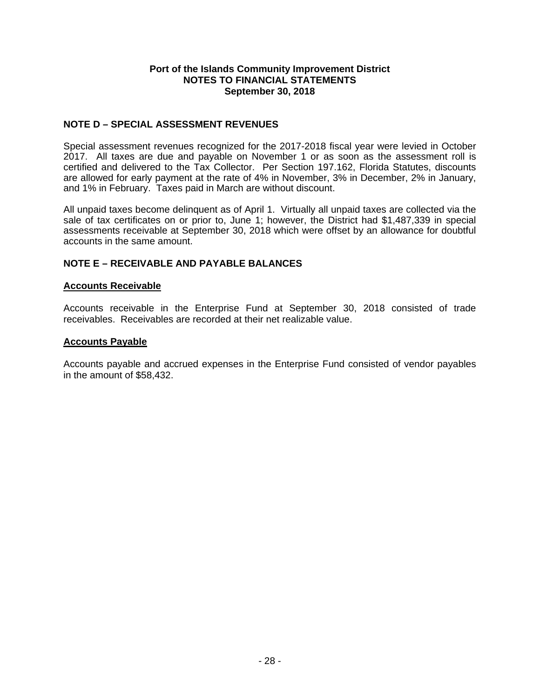## **NOTE D – SPECIAL ASSESSMENT REVENUES**

Special assessment revenues recognized for the 2017-2018 fiscal year were levied in October 2017. All taxes are due and payable on November 1 or as soon as the assessment roll is certified and delivered to the Tax Collector. Per Section 197.162, Florida Statutes, discounts are allowed for early payment at the rate of 4% in November, 3% in December, 2% in January, and 1% in February. Taxes paid in March are without discount.

All unpaid taxes become delinquent as of April 1. Virtually all unpaid taxes are collected via the sale of tax certificates on or prior to, June 1; however, the District had \$1,487,339 in special assessments receivable at September 30, 2018 which were offset by an allowance for doubtful accounts in the same amount.

## **NOTE E – RECEIVABLE AND PAYABLE BALANCES**

#### **Accounts Receivable**

Accounts receivable in the Enterprise Fund at September 30, 2018 consisted of trade receivables. Receivables are recorded at their net realizable value.

#### **Accounts Payable**

Accounts payable and accrued expenses in the Enterprise Fund consisted of vendor payables in the amount of \$58,432.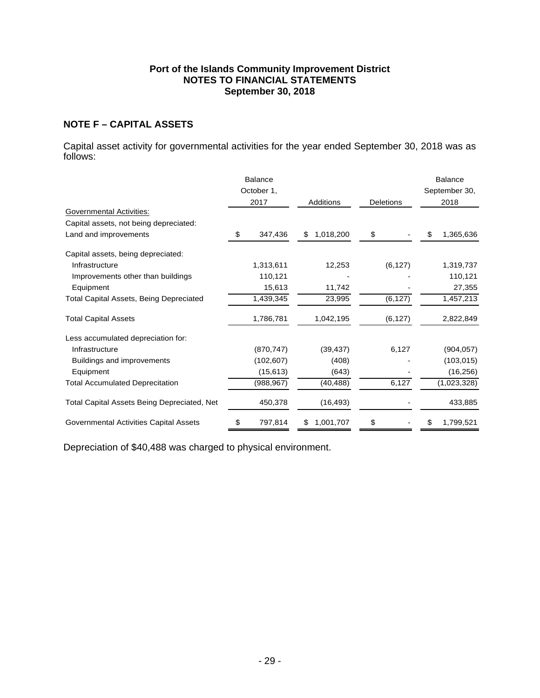# **NOTE F – CAPITAL ASSETS**

Capital asset activity for governmental activities for the year ended September 30, 2018 was as follows:

|                                                    |    | <b>Balance</b> |    |           |    |                  |    | <b>Balance</b> |  |
|----------------------------------------------------|----|----------------|----|-----------|----|------------------|----|----------------|--|
|                                                    |    | October 1,     |    |           |    |                  |    | September 30,  |  |
|                                                    |    | 2017           |    | Additions |    | <b>Deletions</b> |    | 2018           |  |
| Governmental Activities:                           |    |                |    |           |    |                  |    |                |  |
| Capital assets, not being depreciated:             |    |                |    |           |    |                  |    |                |  |
| Land and improvements                              | \$ | 347,436        | \$ | 1,018,200 | \$ |                  | \$ | 1,365,636      |  |
| Capital assets, being depreciated:                 |    |                |    |           |    |                  |    |                |  |
| Infrastructure                                     |    | 1,313,611      |    | 12,253    |    | (6, 127)         |    | 1,319,737      |  |
| Improvements other than buildings                  |    | 110,121        |    |           |    |                  |    | 110,121        |  |
| Equipment                                          |    | 15,613         |    | 11,742    |    |                  |    | 27,355         |  |
| <b>Total Capital Assets, Being Depreciated</b>     |    | 1,439,345      |    | 23,995    |    | (6, 127)         |    | 1,457,213      |  |
| <b>Total Capital Assets</b>                        |    | 1,786,781      |    | 1,042,195 |    | (6, 127)         |    | 2,822,849      |  |
| Less accumulated depreciation for:                 |    |                |    |           |    |                  |    |                |  |
| Infrastructure                                     |    | (870, 747)     |    | (39, 437) |    | 6,127            |    | (904, 057)     |  |
| Buildings and improvements                         |    | (102, 607)     |    | (408)     |    |                  |    | (103, 015)     |  |
| Equipment                                          |    | (15, 613)      |    | (643)     |    |                  |    | (16, 256)      |  |
| <b>Total Accumulated Deprecitation</b>             |    | (988, 967)     |    | (40, 488) |    | 6,127            |    | (1,023,328)    |  |
| <b>Total Capital Assets Being Depreciated, Net</b> |    | 450,378        |    | (16, 493) |    |                  |    | 433,885        |  |
| Governmental Activities Capital Assets             | S  | 797,814        | S  | 1,001,707 | \$ |                  |    | 1,799,521      |  |

Depreciation of \$40,488 was charged to physical environment.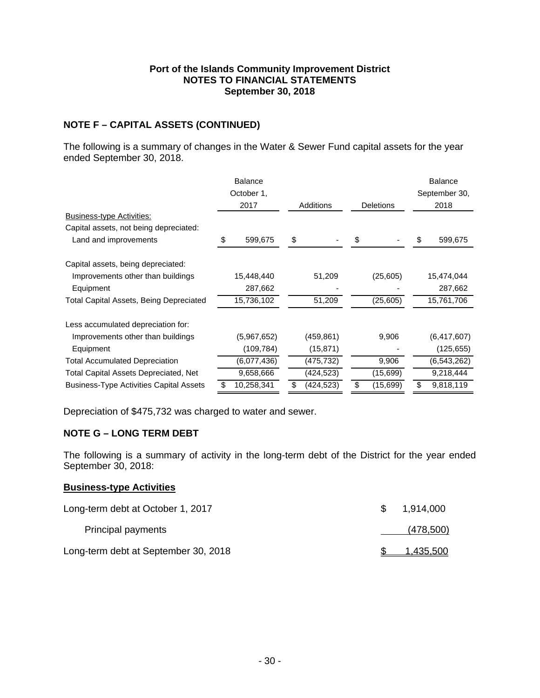# **NOTE F – CAPITAL ASSETS (CONTINUED)**

The following is a summary of changes in the Water & Sewer Fund capital assets for the year ended September 30, 2018.

|                                                | <b>Balance</b> |            |                  | <b>Balance</b> |
|------------------------------------------------|----------------|------------|------------------|----------------|
|                                                | October 1,     |            |                  | September 30,  |
|                                                | 2017           | Additions  | <b>Deletions</b> | 2018           |
| <b>Business-type Activities:</b>               |                |            |                  |                |
| Capital assets, not being depreciated:         |                |            |                  |                |
| Land and improvements                          | \$<br>599,675  | \$         | \$               | \$<br>599,675  |
| Capital assets, being depreciated:             |                |            |                  |                |
| Improvements other than buildings              | 15,448,440     | 51,209     | (25, 605)        | 15,474,044     |
| Equipment                                      | 287,662        |            |                  | 287,662        |
| Total Capital Assets, Being Depreciated        | 15,736,102     | 51,209     | (25, 605)        | 15,761,706     |
| Less accumulated depreciation for:             |                |            |                  |                |
| Improvements other than buildings              | (5,967,652)    | (459, 861) | 9,906            | (6,417,607)    |
| Equipment                                      | (109, 784)     | (15, 871)  |                  | (125, 655)     |
| <b>Total Accumulated Depreciation</b>          | (6,077,436)    | (475, 732) | 9,906            | (6, 543, 262)  |
| Total Capital Assets Depreciated, Net          | 9,658,666      | (424, 523) | (15,699)         | 9,218,444      |
| <b>Business-Type Activities Capital Assets</b> | 10,258,341     | (424, 523) | (15, 699)        | 9,818,119      |
|                                                |                |            |                  |                |

Depreciation of \$475,732 was charged to water and sewer.

## **NOTE G – LONG TERM DEBT**

The following is a summary of activity in the long-term debt of the District for the year ended September 30, 2018:

#### **Business-type Activities**

| Long-term debt at October 1, 2017    | SS. | 1.914.000 |
|--------------------------------------|-----|-----------|
| <b>Principal payments</b>            |     | (478,500) |
| Long-term debt at September 30, 2018 |     | 1.435.500 |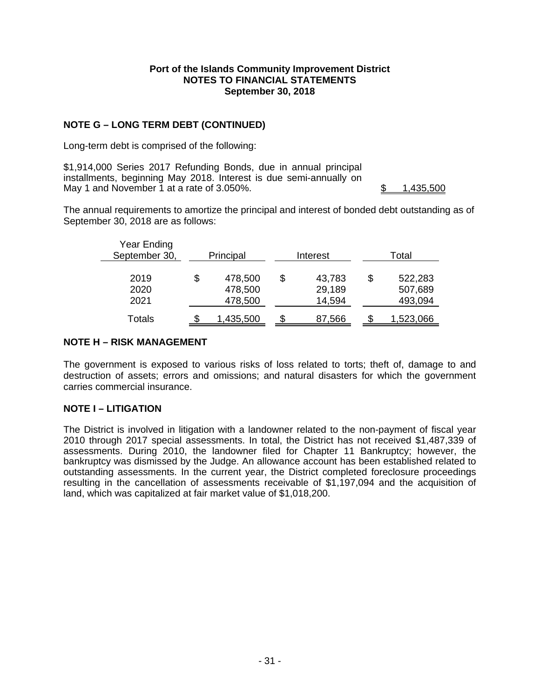# **NOTE G – LONG TERM DEBT (CONTINUED)**

Long-term debt is comprised of the following:

\$1,914,000 Series 2017 Refunding Bonds, due in annual principal installments, beginning May 2018. Interest is due semi-annually on May 1 and November 1 at a rate of 3.050%.

The annual requirements to amortize the principal and interest of bonded debt outstanding as of September 30, 2018 are as follows:

| Year Ending<br>September 30, | Principal                     | Interest                         | Total                               |
|------------------------------|-------------------------------|----------------------------------|-------------------------------------|
| 2019<br>2020<br>2021         | 478,500<br>478,500<br>478,500 | \$<br>43,783<br>29,189<br>14,594 | \$<br>522,283<br>507,689<br>493,094 |
| <b>Totals</b>                | 1,435,500                     | 87,566                           | 1,523,066                           |

### **NOTE H – RISK MANAGEMENT**

The government is exposed to various risks of loss related to torts; theft of, damage to and destruction of assets; errors and omissions; and natural disasters for which the government carries commercial insurance.

## **NOTE I – LITIGATION**

The District is involved in litigation with a landowner related to the non-payment of fiscal year 2010 through 2017 special assessments. In total, the District has not received \$1,487,339 of assessments. During 2010, the landowner filed for Chapter 11 Bankruptcy; however, the bankruptcy was dismissed by the Judge. An allowance account has been established related to outstanding assessments. In the current year, the District completed foreclosure proceedings resulting in the cancellation of assessments receivable of \$1,197,094 and the acquisition of land, which was capitalized at fair market value of \$1,018,200.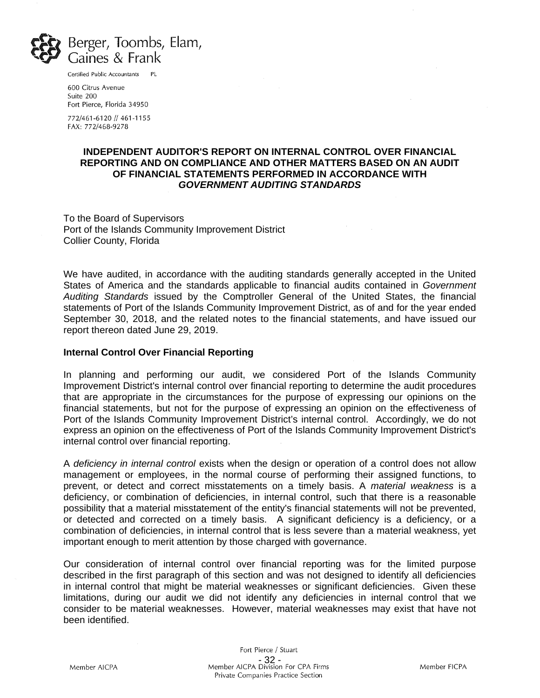

Certified Public Accountants PL

600 Citrus Avenue Suite 200 Fort Pierce, Florida 34950

772/461-6120 // 461-1155 FAX: 772/468-9278

#### **INDEPENDENT AUDITOR'S REPORT ON INTERNAL CONTROL OVER FINANCIAL REPORTING AND ON COMPLIANCE AND OTHER MATTERS BASED ON AN AUDIT OF FINANCIAL STATEMENTS PERFORMED IN ACCORDANCE WITH**  *GOVERNMENT AUDITING STANDARDS*

To the Board of Supervisors Port of the Islands Community Improvement District Collier County, Florida

We have audited, in accordance with the auditing standards generally accepted in the United States of America and the standards applicable to financial audits contained in *Government Auditing Standards* issued by the Comptroller General of the United States, the financial statements of Port of the Islands Community Improvement District, as of and for the year ended September 30, 2018, and the related notes to the financial statements, and have issued our report thereon dated June 29, 2019.

#### **Internal Control Over Financial Reporting**

In planning and performing our audit, we considered Port of the Islands Community Improvement District's internal control over financial reporting to determine the audit procedures that are appropriate in the circumstances for the purpose of expressing our opinions on the financial statements, but not for the purpose of expressing an opinion on the effectiveness of Port of the Islands Community Improvement District's internal control. Accordingly, we do not express an opinion on the effectiveness of Port of the Islands Community Improvement District's internal control over financial reporting.

A *deficiency in internal control* exists when the design or operation of a control does not allow management or employees, in the normal course of performing their assigned functions, to prevent, or detect and correct misstatements on a timely basis. A *material weakness* is a deficiency, or combination of deficiencies, in internal control, such that there is a reasonable possibility that a material misstatement of the entity's financial statements will not be prevented, or detected and corrected on a timely basis. A significant deficiency is a deficiency, or a combination of deficiencies, in internal control that is less severe than a material weakness, yet important enough to merit attention by those charged with governance.

Our consideration of internal control over financial reporting was for the limited purpose described in the first paragraph of this section and was not designed to identify all deficiencies in internal control that might be material weaknesses or significant deficiencies. Given these limitations, during our audit we did not identify any deficiencies in internal control that we consider to be material weaknesses. However, material weaknesses may exist that have not been identified.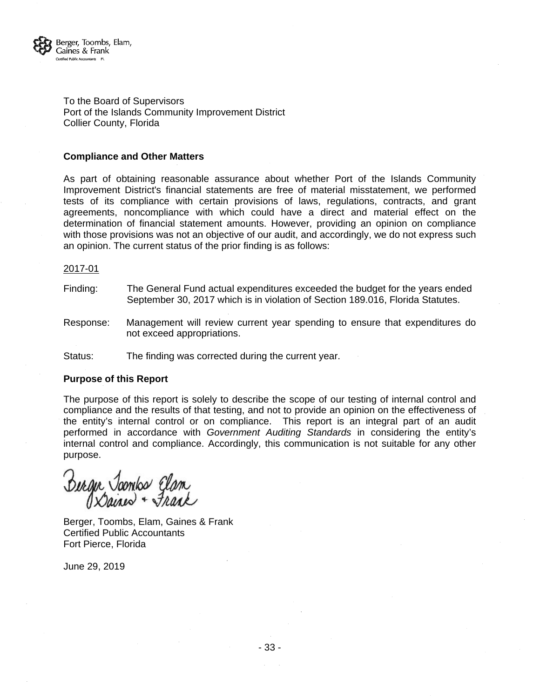

To the Board of Supervisors Port of the Islands Community Improvement District Collier County, Florida

#### **Compliance and Other Matters**

As part of obtaining reasonable assurance about whether Port of the Islands Community Improvement District's financial statements are free of material misstatement, we performed tests of its compliance with certain provisions of laws, regulations, contracts, and grant agreements, noncompliance with which could have a direct and material effect on the determination of financial statement amounts. However, providing an opinion on compliance with those provisions was not an objective of our audit, and accordingly, we do not express such an opinion. The current status of the prior finding is as follows:

#### 2017-01

- Finding: The General Fund actual expenditures exceeded the budget for the years ended September 30, 2017 which is in violation of Section 189.016, Florida Statutes.
- Response: Management will review current year spending to ensure that expenditures do not exceed appropriations.

Status: The finding was corrected during the current year.

#### **Purpose of this Report**

The purpose of this report is solely to describe the scope of our testing of internal control and compliance and the results of that testing, and not to provide an opinion on the effectiveness of the entity's internal control or on compliance. This report is an integral part of an audit performed in accordance with *Government Auditing Standards* in considering the entity's internal control and compliance. Accordingly, this communication is not suitable for any other purpose.

Bergin Joonibo Elam

Berger, Toombs, Elam, Gaines & Frank Certified Public Accountants Fort Pierce, Florida

June 29, 2019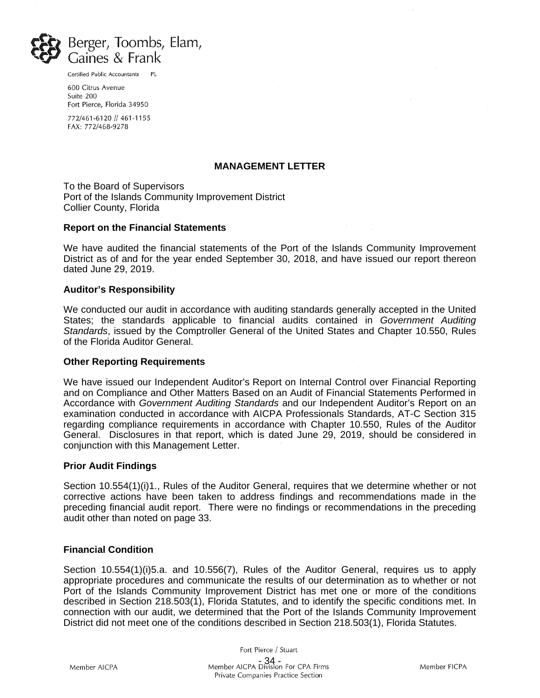

Certified Public Accountants PL

600 Citrus Avenue Suite 200 Fort Pierce, Florida 34950

772/461-6120 // 461-1155 FAX: 772/468-9278

#### **MANAGEMENT LETTER**

To the Board of Supervisors Port of the Islands Community Improvement District Collier County, Florida

#### **Report on the Financial Statements**

We have audited the financial statements of the Port of the Islands Community Improvement District as of and for the year ended September 30, 2018, and have issued our report thereon dated June 29, 2019.

#### **Auditor's Responsibility**

We conducted our audit in accordance with auditing standards generally accepted in the United States; the standards applicable to financial audits contained in *Government Auditing Standards*, issued by the Comptroller General of the United States and Chapter 10.550, Rules of the Florida Auditor General.

#### **Other Reporting Requirements**

We have issued our Independent Auditor's Report on Internal Control over Financial Reporting and on Compliance and Other Matters Based on an Audit of Financial Statements Performed in Accordance with *Government Auditing Standards* and our Independent Auditor's Report on an examination conducted in accordance with AICPA Professionals Standards, AT-C Section 315 regarding compliance requirements in accordance with Chapter 10.550, Rules of the Auditor General. Disclosures in that report, which is dated June 29, 2019, should be considered in conjunction with this Management Letter.

#### **Prior Audit Findings**

Section 10.554(1)(i)1., Rules of the Auditor General, requires that we determine whether or not corrective actions have been taken to address findings and recommendations made in the preceding financial audit report. There were no findings or recommendations in the preceding audit other than noted on page 33.

#### **Financial Condition**

Section 10.554(1)(i)5.a. and 10.556(7), Rules of the Auditor General, requires us to apply appropriate procedures and communicate the results of our determination as to whether or not Port of the Islands Community Improvement District has met one or more of the conditions described in Section 218.503(1), Florida Statutes, and to identify the specific conditions met. In connection with our audit, we determined that the Port of the Islands Community Improvement District did not meet one of the conditions described in Section 218.503(1), Florida Statutes.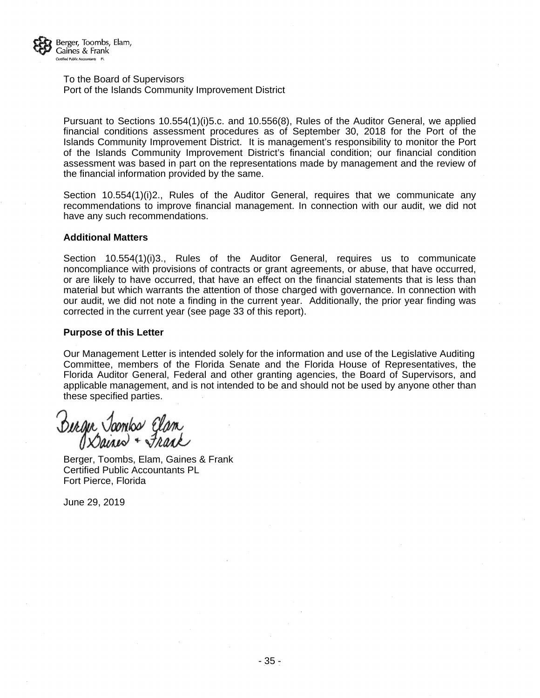

#### To the Board of Supervisors Port of the Islands Community Improvement District

Pursuant to Sections 10.554(1)(i)5.c. and 10.556(8), Rules of the Auditor General, we applied financial conditions assessment procedures as of September 30, 2018 for the Port of the Islands Community Improvement District. It is management's responsibility to monitor the Port of the Islands Community Improvement District's financial condition; our financial condition assessment was based in part on the representations made by management and the review of the financial information provided by the same.

Section 10.554(1)(i)2.. Rules of the Auditor General, requires that we communicate any recommendations to improve financial management. In connection with our audit, we did not have any such recommendations.

#### **Additional Matters**

Section 10.554(1)(i)3., Rules of the Auditor General, requires us to communicate noncompliance with provisions of contracts or grant agreements, or abuse, that have occurred, or are likely to have occurred, that have an effect on the financial statements that is less than material but which warrants the attention of those charged with governance. In connection with our audit, we did not note a finding in the current year. Additionally, the prior year finding was corrected in the current year (see page 33 of this report).

#### **Purpose of this Letter**

Our Management Letter is intended solely for the information and use of the Legislative Auditing Committee, members of the Florida Senate and the Florida House of Representatives, the Florida Auditor General, Federal and other granting agencies, the Board of Supervisors, and applicable management, and is not intended to be and should not be used by anyone other than these specified parties.

Berger Joonbo Clam<br>Saines + Frank

Berger, Toombs, Elam, Gaines & Frank Certified Public Accountants PL Fort Pierce, Florida

June 29, 2019